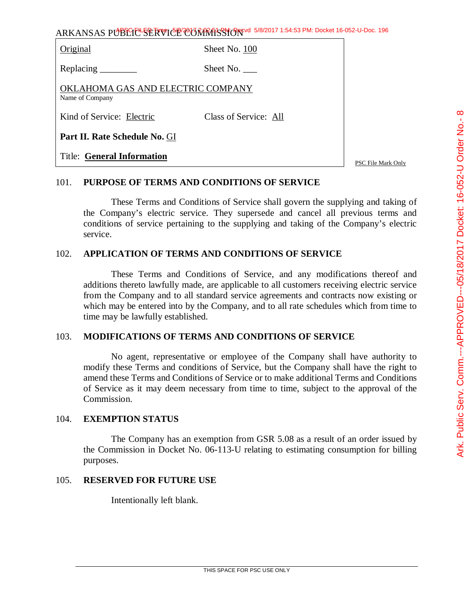| Original                                             | Sheet No. 100         |  |
|------------------------------------------------------|-----------------------|--|
| Replacing $\qquad$                                   | Sheet No.             |  |
| OKLAHOMA GAS AND ELECTRIC COMPANY<br>Name of Company |                       |  |
| Kind of Service: Electric                            | Class of Service: All |  |
| Part II. Rate Schedule No. GI                        |                       |  |
| <b>Title: General Information</b>                    |                       |  |

PSC File Mark Only

## 101. **PURPOSE OF TERMS AND CONDITIONS OF SERVICE**

These Terms and Conditions of Service shall govern the supplying and taking of the Company's electric service. They supersede and cancel all previous terms and conditions of service pertaining to the supplying and taking of the Company's electric service.

#### 102. **APPLICATION OF TERMS AND CONDITIONS OF SERVICE**

These Terms and Conditions of Service, and any modifications thereof and additions thereto lawfully made, are applicable to all customers receiving electric service from the Company and to all standard service agreements and contracts now existing or which may be entered into by the Company, and to all rate schedules which from time to time may be lawfully established.

## 103. **MODIFICATIONS OF TERMS AND CONDITIONS OF SERVICE**

No agent, representative or employee of the Company shall have authority to modify these Terms and conditions of Service, but the Company shall have the right to amend these Terms and Conditions of Service or to make additional Terms and Conditions of Service as it may deem necessary from time to time, subject to the approval of the Commission.

#### 104. **EXEMPTION STATUS**

The Company has an exemption from GSR 5.08 as a result of an order issued by the Commission in Docket No. 06-113-U relating to estimating consumption for billing purposes.

## 105. **RESERVED FOR FUTURE USE**

Intentionally left blank.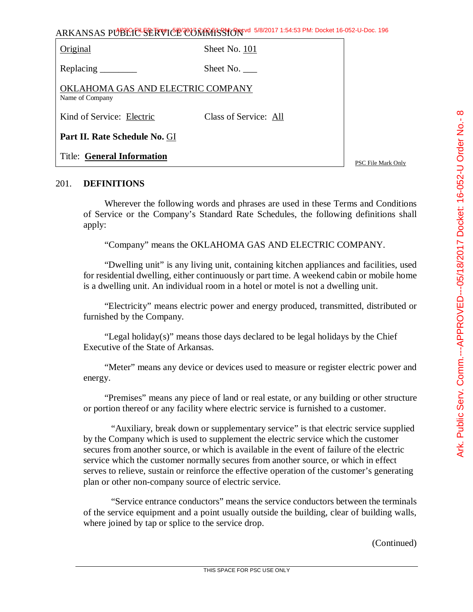| Original                                             | Sheet No. 101         |               |
|------------------------------------------------------|-----------------------|---------------|
| Replacing $\_\_\_\_\_\_\_\_\_\_\_\$                  | Sheet No.             |               |
| OKLAHOMA GAS AND ELECTRIC COMPANY<br>Name of Company |                       |               |
| Kind of Service: Electric                            | Class of Service: All |               |
| Part II. Rate Schedule No. GI                        |                       |               |
| <b>Title: General Information</b>                    |                       | $\sim$ $\sim$ |

PSC File Mark Only

# 201. **DEFINITIONS**

Wherever the following words and phrases are used in these Terms and Conditions of Service or the Company's Standard Rate Schedules, the following definitions shall apply:

"Company" means the OKLAHOMA GAS AND ELECTRIC COMPANY.

"Dwelling unit" is any living unit, containing kitchen appliances and facilities, used for residential dwelling, either continuously or part time. A weekend cabin or mobile home is a dwelling unit. An individual room in a hotel or motel is not a dwelling unit.

"Electricity" means electric power and energy produced, transmitted, distributed or furnished by the Company.

"Legal holiday $(s)$ " means those days declared to be legal holidays by the Chief Executive of the State of Arkansas.

"Meter" means any device or devices used to measure or register electric power and energy.

"Premises" means any piece of land or real estate, or any building or other structure or portion thereof or any facility where electric service is furnished to a customer.

"Auxiliary, break down or supplementary service" is that electric service supplied by the Company which is used to supplement the electric service which the customer secures from another source, or which is available in the event of failure of the electric service which the customer normally secures from another source, or which in effect serves to relieve, sustain or reinforce the effective operation of the customer's generating plan or other non-company source of electric service.

"Service entrance conductors" means the service conductors between the terminals of the service equipment and a point usually outside the building, clear of building walls, where joined by tap or splice to the service drop.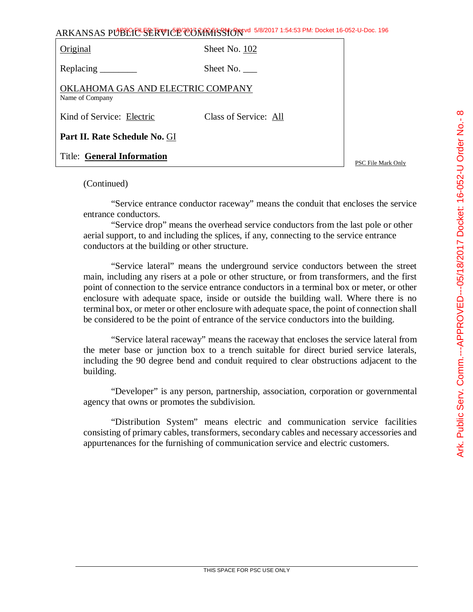| ARKANSAS PUBLICE SERVICE CONTRASSION 5/8/2017 1:54:53 PM: Docket 16-052-U-Doc. 196 |  |
|------------------------------------------------------------------------------------|--|
|------------------------------------------------------------------------------------|--|

| Original                                             | Sheet No. 102         |
|------------------------------------------------------|-----------------------|
| Replacing                                            | Sheet No. $\qquad$    |
| OKLAHOMA GAS AND ELECTRIC COMPANY<br>Name of Company |                       |
| Kind of Service: Electric                            | Class of Service: All |
| Part II. Rate Schedule No. GI                        |                       |
| <b>Title: General Information</b>                    |                       |

(Continued)

"Service entrance conductor raceway" means the conduit that encloses the service entrance conductors.

"Service drop" means the overhead service conductors from the last pole or other aerial support, to and including the splices, if any, connecting to the service entrance conductors at the building or other structure.

"Service lateral" means the underground service conductors between the street main, including any risers at a pole or other structure, or from transformers, and the first point of connection to the service entrance conductors in a terminal box or meter, or other enclosure with adequate space, inside or outside the building wall. Where there is no terminal box, or meter or other enclosure with adequate space, the point of connection shall be considered to be the point of entrance of the service conductors into the building.

"Service lateral raceway" means the raceway that encloses the service lateral from the meter base or junction box to a trench suitable for direct buried service laterals, including the 90 degree bend and conduit required to clear obstructions adjacent to the building.

"Developer" is any person, partnership, association, corporation or governmental agency that owns or promotes the subdivision.

"Distribution System" means electric and communication service facilities consisting of primary cables, transformers, secondary cables and necessary accessories and appurtenances for the furnishing of communication service and electric customers.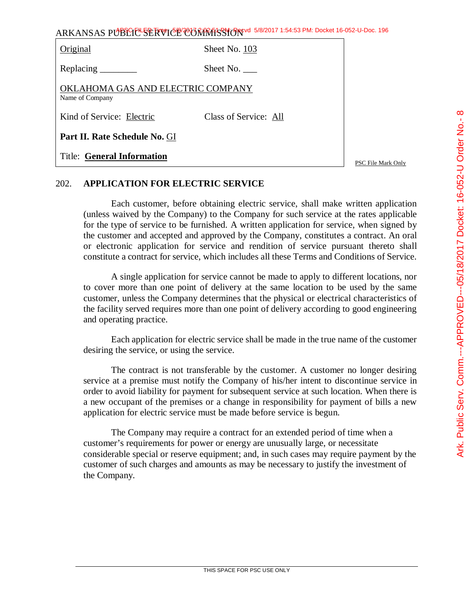| ARKANSAS PUBLIC <sup>L</sup> SERVICE COMMISSION 5/8/2017 1:54:53 PM: Docket 16-052-U-Doc. 196 |                       |                    |
|-----------------------------------------------------------------------------------------------|-----------------------|--------------------|
| Original                                                                                      | Sheet No. 103         |                    |
| Replacing ________                                                                            | Sheet No.             |                    |
| OKLAHOMA GAS AND ELECTRIC COMPANY<br>Name of Company                                          |                       |                    |
| Kind of Service: Electric                                                                     | Class of Service: All |                    |
| Part II. Rate Schedule No. GI                                                                 |                       |                    |
| <b>Title: General Information</b>                                                             |                       | PSC File Mark Only |

# 202. **APPLICATION FOR ELECTRIC SERVICE**

Each customer, before obtaining electric service, shall make written application (unless waived by the Company) to the Company for such service at the rates applicable for the type of service to be furnished. A written application for service, when signed by the customer and accepted and approved by the Company, constitutes a contract. An oral or electronic application for service and rendition of service pursuant thereto shall constitute a contract for service, which includes all these Terms and Conditions of Service.

A single application for service cannot be made to apply to different locations, nor to cover more than one point of delivery at the same location to be used by the same customer, unless the Company determines that the physical or electrical characteristics of the facility served requires more than one point of delivery according to good engineering and operating practice.

Each application for electric service shall be made in the true name of the customer desiring the service, or using the service.

The contract is not transferable by the customer. A customer no longer desiring service at a premise must notify the Company of his/her intent to discontinue service in order to avoid liability for payment for subsequent service at such location. When there is a new occupant of the premises or a change in responsibility for payment of bills a new application for electric service must be made before service is begun.

The Company may require a contract for an extended period of time when a customer's requirements for power or energy are unusually large, or necessitate considerable special or reserve equipment; and, in such cases may require payment by the customer of such charges and amounts as may be necessary to justify the investment of the Company.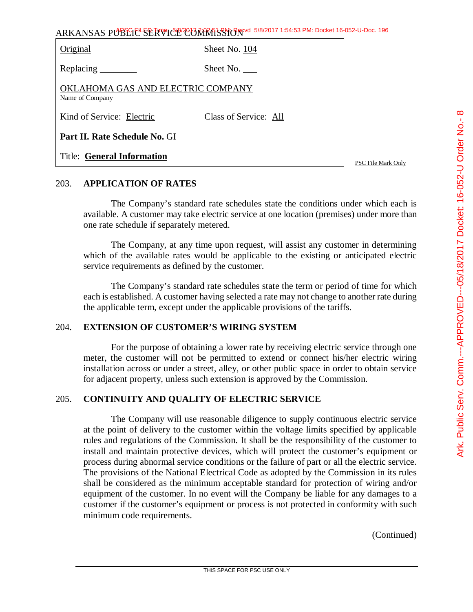| Original                                             | Sheet No. 104         |
|------------------------------------------------------|-----------------------|
|                                                      | Sheet No.             |
| OKLAHOMA GAS AND ELECTRIC COMPANY<br>Name of Company |                       |
| Kind of Service: Electric                            | Class of Service: All |
| Part II. Rate Schedule No. GI                        |                       |
| <b>Title: General Information</b>                    |                       |

PSC File Mark Only

# 203. **APPLICATION OF RATES**

The Company's standard rate schedules state the conditions under which each is available. A customer may take electric service at one location (premises) under more than one rate schedule if separately metered.

The Company, at any time upon request, will assist any customer in determining which of the available rates would be applicable to the existing or anticipated electric service requirements as defined by the customer.

The Company's standard rate schedules state the term or period of time for which each is established. A customer having selected a rate may not change to another rate during the applicable term, except under the applicable provisions of the tariffs.

## 204. **EXTENSION OF CUSTOMER'S WIRING SYSTEM**

For the purpose of obtaining a lower rate by receiving electric service through one meter, the customer will not be permitted to extend or connect his/her electric wiring installation across or under a street, alley, or other public space in order to obtain service for adjacent property, unless such extension is approved by the Commission.

## 205. **CONTINUITY AND QUALITY OF ELECTRIC SERVICE**

The Company will use reasonable diligence to supply continuous electric service at the point of delivery to the customer within the voltage limits specified by applicable rules and regulations of the Commission. It shall be the responsibility of the customer to install and maintain protective devices, which will protect the customer's equipment or process during abnormal service conditions or the failure of part or all the electric service. The provisions of the National Electrical Code as adopted by the Commission in its rules shall be considered as the minimum acceptable standard for protection of wiring and/or equipment of the customer. In no event will the Company be liable for any damages to a customer if the customer's equipment or process is not protected in conformity with such minimum code requirements.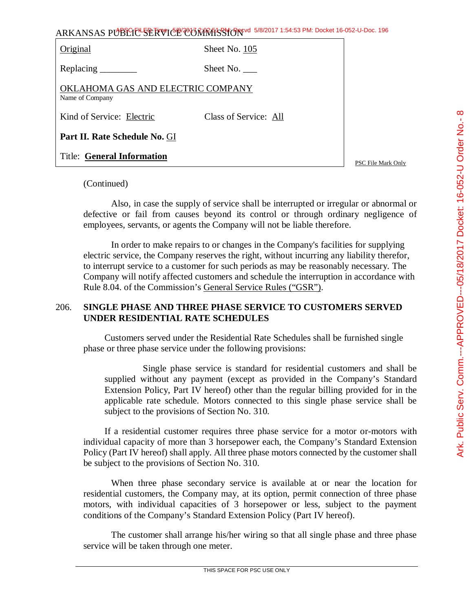| Ark. Public Serv. Comm.---APPROVED---05/18/2017 Docket: 16-052-U Order No.- 8 |
|-------------------------------------------------------------------------------|
|                                                                               |
|                                                                               |
|                                                                               |
|                                                                               |
|                                                                               |

| Original                                             | Sheet No. 105         |
|------------------------------------------------------|-----------------------|
| Replacing ________                                   | Sheet No.             |
| OKLAHOMA GAS AND ELECTRIC COMPANY<br>Name of Company |                       |
| Kind of Service: Electric                            | Class of Service: All |
| Part II. Rate Schedule No. GI                        |                       |
| <b>Title: General Information</b>                    |                       |

PSC File Mark Only

#### (Continued)

Also, in case the supply of service shall be interrupted or irregular or abnormal or defective or fail from causes beyond its control or through ordinary negligence of employees, servants, or agents the Company will not be liable therefore.

In order to make repairs to or changes in the Company's facilities for supplying electric service, the Company reserves the right, without incurring any liability therefor, to interrupt service to a customer for such periods as may be reasonably necessary. The Company will notify affected customers and schedule the interruption in accordance with Rule 8.04. of the Commission's General Service Rules ("GSR").

# 206. **SINGLE PHASE AND THREE PHASE SERVICE TO CUSTOMERS SERVED UNDER RESIDENTIAL RATE SCHEDULES**

Customers served under the Residential Rate Schedules shall be furnished single phase or three phase service under the following provisions:

Single phase service is standard for residential customers and shall be supplied without any payment (except as provided in the Company's Standard Extension Policy, Part IV hereof) other than the regular billing provided for in the applicable rate schedule. Motors connected to this single phase service shall be subject to the provisions of Section No. 310.

If a residential customer requires three phase service for a motor or-motors with individual capacity of more than 3 horsepower each, the Company's Standard Extension Policy (Part IV hereof) shall apply. All three phase motors connected by the customer shall be subject to the provisions of Section No. 310.

When three phase secondary service is available at or near the location for residential customers, the Company may, at its option, permit connection of three phase motors, with individual capacities of 3 horsepower or less, subject to the payment conditions of the Company's Standard Extension Policy (Part IV hereof).

The customer shall arrange his/her wiring so that all single phase and three phase service will be taken through one meter.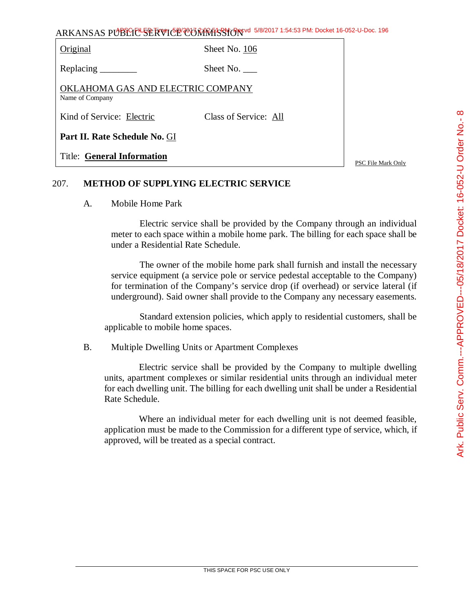| Original                                             | Sheet No. 106         |
|------------------------------------------------------|-----------------------|
| Replacing _______                                    | Sheet No.             |
| OKLAHOMA GAS AND ELECTRIC COMPANY<br>Name of Company |                       |
| Kind of Service: Electric                            | Class of Service: All |
| Part II. Rate Schedule No. GI                        |                       |
| <b>Title: General Information</b>                    |                       |

PSC File Mark Only

# 207. **METHOD OF SUPPLYING ELECTRIC SERVICE**

A. Mobile Home Park

Electric service shall be provided by the Company through an individual meter to each space within a mobile home park. The billing for each space shall be under a Residential Rate Schedule.

The owner of the mobile home park shall furnish and install the necessary service equipment (a service pole or service pedestal acceptable to the Company) for termination of the Company's service drop (if overhead) or service lateral (if underground). Said owner shall provide to the Company any necessary easements.

Standard extension policies, which apply to residential customers, shall be applicable to mobile home spaces.

B. Multiple Dwelling Units or Apartment Complexes

Electric service shall be provided by the Company to multiple dwelling units, apartment complexes or similar residential units through an individual meter for each dwelling unit. The billing for each dwelling unit shall be under a Residential Rate Schedule.

Where an individual meter for each dwelling unit is not deemed feasible, application must be made to the Commission for a different type of service, which, if approved, will be treated as a special contract.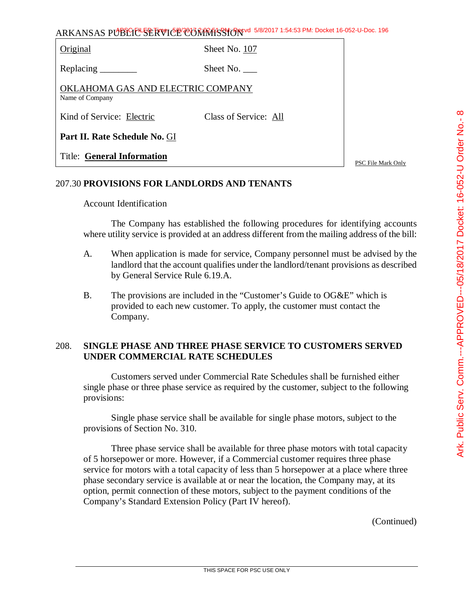| ARKANSAS PUBLICE SERVICE CONTRASSION 5/8/2017 1:54:53 PM: Docket 16-052-U-Doc. 196 |
|------------------------------------------------------------------------------------|
|------------------------------------------------------------------------------------|

Original Sheet No. 107

Replacing Sheet No.

OKLAHOMA GAS AND ELECTRIC COMPANY Name of Company

Kind of Service: Electric Class of Service: All

**Part II. Rate Schedule No.** GI

Title: **General Information**

PSC File Mark Only

# 207.30 **PROVISIONS FOR LANDLORDS AND TENANTS**

# Account Identification

The Company has established the following procedures for identifying accounts where utility service is provided at an address different from the mailing address of the bill:

- A. When application is made for service, Company personnel must be advised by the landlord that the account qualifies under the landlord/tenant provisions as described by General Service Rule 6.19.A.
- B. The provisions are included in the "Customer's Guide to OG&E" which is provided to each new customer. To apply, the customer must contact the Company.

# 208. **SINGLE PHASE AND THREE PHASE SERVICE TO CUSTOMERS SERVED UNDER COMMERCIAL RATE SCHEDULES**

Customers served under Commercial Rate Schedules shall be furnished either single phase or three phase service as required by the customer, subject to the following provisions:

Single phase service shall be available for single phase motors, subject to the provisions of Section No. 310.

Three phase service shall be available for three phase motors with total capacity of 5 horsepower or more. However, if a Commercial customer requires three phase service for motors with a total capacity of less than 5 horsepower at a place where three phase secondary service is available at or near the location, the Company may, at its option, permit connection of these motors, subject to the payment conditions of the Company's Standard Extension Policy (Part IV hereof).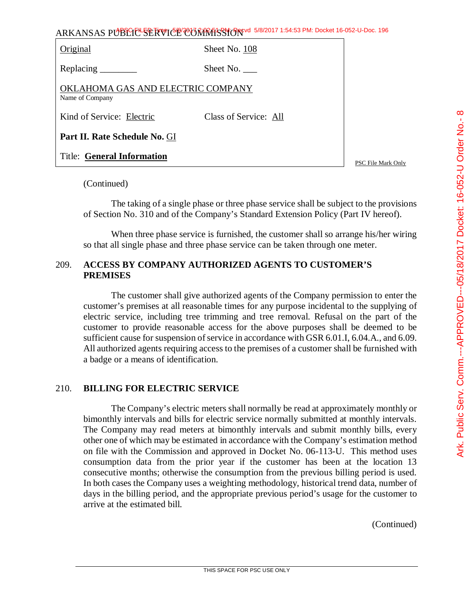| ARKANSAS PUBLICE SERVICE CONTRASSION 5/8/2017 1:54:53 PM: Docket 16-052-U-Doc. 196 |  |
|------------------------------------------------------------------------------------|--|
|------------------------------------------------------------------------------------|--|

| Original                                             | Sheet No. 108         |
|------------------------------------------------------|-----------------------|
|                                                      | Sheet No.             |
| OKLAHOMA GAS AND ELECTRIC COMPANY<br>Name of Company |                       |
| Kind of Service: Electric                            | Class of Service: All |
| Part II. Rate Schedule No. GI                        |                       |
| <b>Title: General Information</b>                    |                       |

#### (Continued)

The taking of a single phase or three phase service shall be subject to the provisions of Section No. 310 and of the Company's Standard Extension Policy (Part IV hereof).

When three phase service is furnished, the customer shall so arrange his/her wiring so that all single phase and three phase service can be taken through one meter.

# 209. **ACCESS BY COMPANY AUTHORIZED AGENTS TO CUSTOMER'S PREMISES**

The customer shall give authorized agents of the Company permission to enter the customer's premises at all reasonable times for any purpose incidental to the supplying of electric service, including tree trimming and tree removal. Refusal on the part of the customer to provide reasonable access for the above purposes shall be deemed to be sufficient cause for suspension of service in accordance with GSR 6.01.I, 6.04.A., and 6.09. All authorized agents requiring access to the premises of a customer shall be furnished with a badge or a means of identification.

## 210. **BILLING FOR ELECTRIC SERVICE**

The Company's electric meters shall normally be read at approximately monthly or bimonthly intervals and bills for electric service normally submitted at monthly intervals. The Company may read meters at bimonthly intervals and submit monthly bills, every other one of which may be estimated in accordance with the Company's estimation method on file with the Commission and approved in Docket No. 06-113-U. This method uses consumption data from the prior year if the customer has been at the location 13 consecutive months; otherwise the consumption from the previous billing period is used. In both cases the Company uses a weighting methodology, historical trend data, number of days in the billing period, and the appropriate previous period's usage for the customer to arrive at the estimated bill.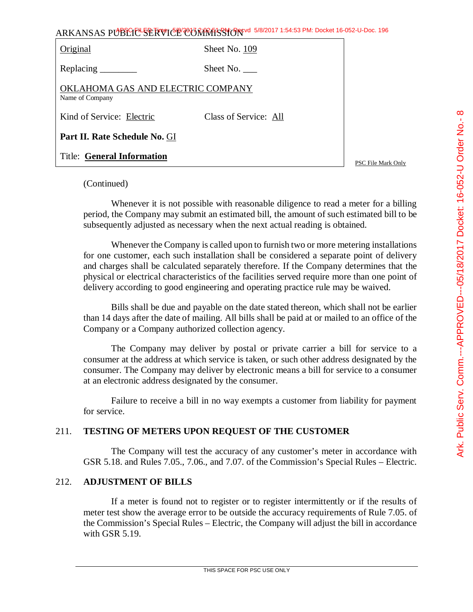| ARKANSAS PUBLIC-SERVICO CONTRASSION 5/8/2017 1:54:53 PM: Docket 16-052-U-Doc. 196 |               |  |
|-----------------------------------------------------------------------------------|---------------|--|
| Original                                                                          | Sheet No. 109 |  |
| $\mathbf{r}$ $\mathbf{r}$                                                         | $C1 \tM T$    |  |

| <b>Original</b> | Sheet No. 109 |
|-----------------|---------------|
|                 |               |

Replacing Sheet No.

OKLAHOMA GAS AND ELECTRIC COMPANY Name of Company

Kind of Service: Electric Class of Service: All

**Part II. Rate Schedule No.** GI

Title: **General Information**

PSC File Mark Only

# (Continued)

Whenever it is not possible with reasonable diligence to read a meter for a billing period, the Company may submit an estimated bill, the amount of such estimated bill to be subsequently adjusted as necessary when the next actual reading is obtained.

Whenever the Company is called upon to furnish two or more metering installations for one customer, each such installation shall be considered a separate point of delivery and charges shall be calculated separately therefore. If the Company determines that the physical or electrical characteristics of the facilities served require more than one point of delivery according to good engineering and operating practice rule may be waived.

Bills shall be due and payable on the date stated thereon, which shall not be earlier than 14 days after the date of mailing. All bills shall be paid at or mailed to an office of the Company or a Company authorized collection agency.

The Company may deliver by postal or private carrier a bill for service to a consumer at the address at which service is taken, or such other address designated by the consumer. The Company may deliver by electronic means a bill for service to a consumer at an electronic address designated by the consumer.

Failure to receive a bill in no way exempts a customer from liability for payment for service.

# 211. **TESTING OF METERS UPON REQUEST OF THE CUSTOMER**

The Company will test the accuracy of any customer's meter in accordance with GSR 5.18. and Rules 7.05., 7.06., and 7.07. of the Commission's Special Rules – Electric.

# 212. **ADJUSTMENT OF BILLS**

If a meter is found not to register or to register intermittently or if the results of meter test show the average error to be outside the accuracy requirements of Rule 7.05. of the Commission's Special Rules – Electric, the Company will adjust the bill in accordance with GSR 5.19.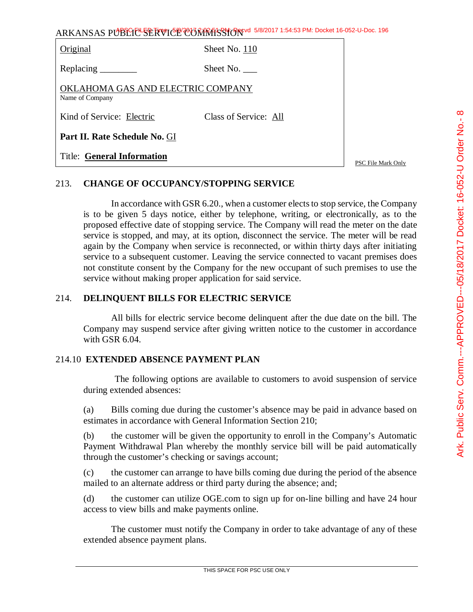| ARKANSAS PUBLIC <sup>L</sup> SERVICE CONRESSION 5/8/2017 1:54:53 PM: Docket 16-052-U-Doc. 196 |                       |                    |
|-----------------------------------------------------------------------------------------------|-----------------------|--------------------|
| Original                                                                                      | Sheet No. 110         |                    |
| Replacing $\_\_\_\_\_\_\_\_\_\_\_\$                                                           | Sheet No.             |                    |
| OKLAHOMA GAS AND ELECTRIC COMPANY<br>Name of Company                                          |                       |                    |
| Kind of Service: Electric                                                                     | Class of Service: All |                    |
| Part II. Rate Schedule No. GI                                                                 |                       |                    |
| <b>Title: General Information</b>                                                             |                       | PSC File Mark Only |

213. **CHANGE OF OCCUPANCY/STOPPING SERVICE**

In accordance with GSR 6.20., when a customer elects to stop service, the Company is to be given 5 days notice, either by telephone, writing, or electronically, as to the proposed effective date of stopping service. The Company will read the meter on the date service is stopped, and may, at its option, disconnect the service. The meter will be read again by the Company when service is reconnected, or within thirty days after initiating service to a subsequent customer. Leaving the service connected to vacant premises does not constitute consent by the Company for the new occupant of such premises to use the service without making proper application for said service.

# 214. **DELINQUENT BILLS FOR ELECTRIC SERVICE**

All bills for electric service become delinquent after the due date on the bill. The Company may suspend service after giving written notice to the customer in accordance with GSR 6.04.

# 214.10 **EXTENDED ABSENCE PAYMENT PLAN**

The following options are available to customers to avoid suspension of service during extended absences:

(a) Bills coming due during the customer's absence may be paid in advance based on estimates in accordance with General Information Section 210;

(b) the customer will be given the opportunity to enroll in the Company's Automatic Payment Withdrawal Plan whereby the monthly service bill will be paid automatically through the customer's checking or savings account;

(c) the customer can arrange to have bills coming due during the period of the absence mailed to an alternate address or third party during the absence; and;

(d) the customer can utilize OGE.com to sign up for on-line billing and have 24 hour access to view bills and make payments online.

The customer must notify the Company in order to take advantage of any of these extended absence payment plans.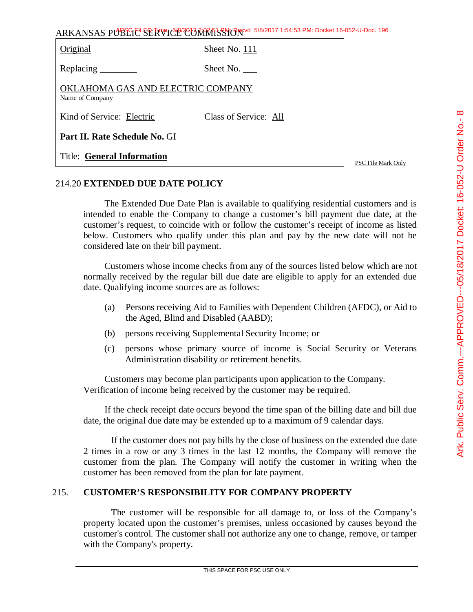| ARKANSAS PUBLIC <sup>L</sup> SERVICE COMMISSION 5/8/2017 1:54:53 PM: Docket 16-052-U-Doc. 196 |                       |                    |
|-----------------------------------------------------------------------------------------------|-----------------------|--------------------|
| Original                                                                                      | Sheet No. 111         |                    |
| Replacing ________                                                                            | Sheet No.             |                    |
| OKLAHOMA GAS AND ELECTRIC COMPANY<br>Name of Company                                          |                       |                    |
| Kind of Service: Electric                                                                     | Class of Service: All |                    |
| Part II. Rate Schedule No. GI                                                                 |                       |                    |
| <b>Title: General Information</b>                                                             |                       | PSC File Mark Only |

# 214.20 **EXTENDED DUE DATE POLICY**

The Extended Due Date Plan is available to qualifying residential customers and is intended to enable the Company to change a customer's bill payment due date, at the customer's request, to coincide with or follow the customer's receipt of income as listed below. Customers who qualify under this plan and pay by the new date will not be considered late on their bill payment.

Customers whose income checks from any of the sources listed below which are not normally received by the regular bill due date are eligible to apply for an extended due date. Qualifying income sources are as follows:

- (a) Persons receiving Aid to Families with Dependent Children (AFDC), or Aid to the Aged, Blind and Disabled (AABD);
- (b) persons receiving Supplemental Security Income; or
- (c) persons whose primary source of income is Social Security or Veterans Administration disability or retirement benefits.

Customers may become plan participants upon application to the Company. Verification of income being received by the customer may be required.

If the check receipt date occurs beyond the time span of the billing date and bill due date, the original due date may be extended up to a maximum of 9 calendar days.

If the customer does not pay bills by the close of business on the extended due date 2 times in a row or any 3 times in the last 12 months, the Company will remove the customer from the plan. The Company will notify the customer in writing when the customer has been removed from the plan for late payment.

# 215. **CUSTOMER'S RESPONSIBILITY FOR COMPANY PROPERTY**

The customer will be responsible for all damage to, or loss of the Company's property located upon the customer's premises, unless occasioned by causes beyond the customer's control. The customer shall not authorize any one to change, remove, or tamper with the Company's property.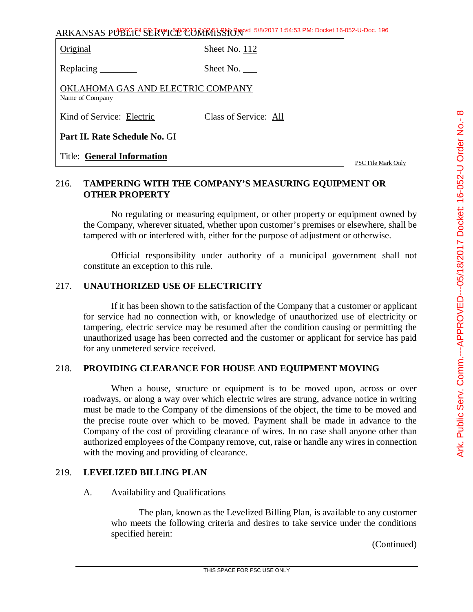| <b>Original</b> |  |
|-----------------|--|
|-----------------|--|

Sheet No.  $112$ 

Replacing Sheet No.

OKLAHOMA GAS AND ELECTRIC COMPANY Name of Company

Kind of Service: Electric Class of Service: All

**Part II. Rate Schedule No.** GI

Title: **General Information**

PSC File Mark Only

# 216. **TAMPERING WITH THE COMPANY'S MEASURING EQUIPMENT OR OTHER PROPERTY**

No regulating or measuring equipment, or other property or equipment owned by the Company, wherever situated, whether upon customer's premises or elsewhere, shall be tampered with or interfered with, either for the purpose of adjustment or otherwise.

Official responsibility under authority of a municipal government shall not constitute an exception to this rule.

# 217. **UNAUTHORIZED USE OF ELECTRICITY**

If it has been shown to the satisfaction of the Company that a customer or applicant for service had no connection with, or knowledge of unauthorized use of electricity or tampering, electric service may be resumed after the condition causing or permitting the unauthorized usage has been corrected and the customer or applicant for service has paid for any unmetered service received.

## 218. **PROVIDING CLEARANCE FOR HOUSE AND EQUIPMENT MOVING**

When a house, structure or equipment is to be moved upon, across or over roadways, or along a way over which electric wires are strung, advance notice in writing must be made to the Company of the dimensions of the object, the time to be moved and the precise route over which to be moved. Payment shall be made in advance to the Company of the cost of providing clearance of wires. In no case shall anyone other than authorized employees of the Company remove, cut, raise or handle any wires in connection with the moving and providing of clearance.

## 219. **LEVELIZED BILLING PLAN**

## A. Availability and Qualifications

The plan, known as the Levelized Billing Plan, is available to any customer who meets the following criteria and desires to take service under the conditions specified herein: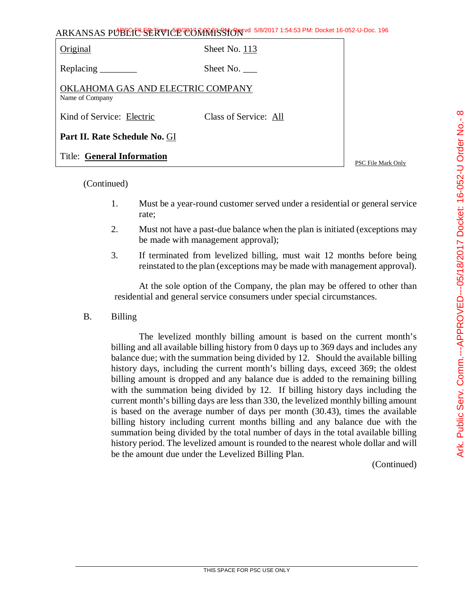| ARKANSAS PUBLICE SERVICE CONTRASSION 5/8/2017 1:54:53 PM: Docket 16-052-U-Doc. 196 |  |
|------------------------------------------------------------------------------------|--|
|------------------------------------------------------------------------------------|--|

| Original                                             | Sheet No. 113         |
|------------------------------------------------------|-----------------------|
|                                                      | Sheet No.             |
| OKLAHOMA GAS AND ELECTRIC COMPANY<br>Name of Company |                       |
| Kind of Service: Electric                            | Class of Service: All |
| Part II. Rate Schedule No. GI                        |                       |
| <b>Title: General Information</b>                    |                       |

(Continued)

- 1. Must be a year-round customer served under a residential or general service rate;
- 2. Must not have a past-due balance when the plan is initiated (exceptions may be made with management approval);
- 3. If terminated from levelized billing, must wait 12 months before being reinstated to the plan (exceptions may be made with management approval).

At the sole option of the Company, the plan may be offered to other than residential and general service consumers under special circumstances.

B. Billing

The levelized monthly billing amount is based on the current month's billing and all available billing history from 0 days up to 369 days and includes any balance due; with the summation being divided by 12. Should the available billing history days, including the current month's billing days, exceed 369; the oldest billing amount is dropped and any balance due is added to the remaining billing with the summation being divided by 12. If billing history days including the current month's billing days are less than 330, the levelized monthly billing amount is based on the average number of days per month (30.43), times the available billing history including current months billing and any balance due with the summation being divided by the total number of days in the total available billing history period. The levelized amount is rounded to the nearest whole dollar and will be the amount due under the Levelized Billing Plan.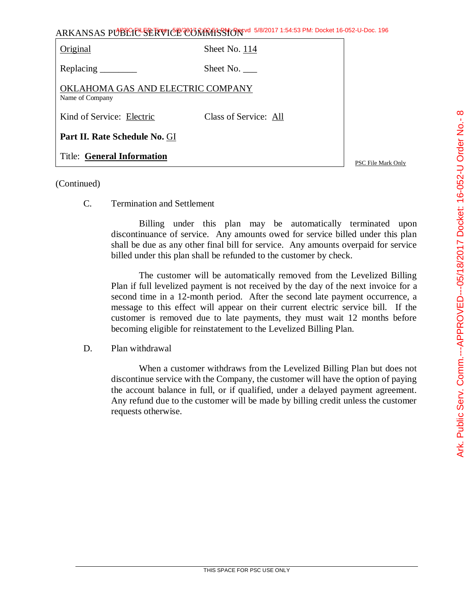| ARKANSAS PUBLIC <sup>L</sup> SERVICE COMMISSION 5/8/2017 1:54:53 PM: Docket 16-052-U-Doc. 196 |                       |                    |
|-----------------------------------------------------------------------------------------------|-----------------------|--------------------|
| Original                                                                                      | Sheet No. 114         |                    |
| Replacing ________                                                                            | Sheet No.             |                    |
| OKLAHOMA GAS AND ELECTRIC COMPANY<br>Name of Company                                          |                       |                    |
| Kind of Service: Electric                                                                     | Class of Service: All |                    |
| Part II. Rate Schedule No. GI                                                                 |                       |                    |
| <b>Title: General Information</b>                                                             |                       | PSC File Mark Only |

## (Continued)

C. Termination and Settlement

Billing under this plan may be automatically terminated upon discontinuance of service. Any amounts owed for service billed under this plan shall be due as any other final bill for service. Any amounts overpaid for service billed under this plan shall be refunded to the customer by check.

The customer will be automatically removed from the Levelized Billing Plan if full levelized payment is not received by the day of the next invoice for a second time in a 12-month period. After the second late payment occurrence, a message to this effect will appear on their current electric service bill. If the customer is removed due to late payments, they must wait 12 months before becoming eligible for reinstatement to the Levelized Billing Plan.

D. Plan withdrawal

When a customer withdraws from the Levelized Billing Plan but does not discontinue service with the Company, the customer will have the option of paying the account balance in full, or if qualified, under a delayed payment agreement. Any refund due to the customer will be made by billing credit unless the customer requests otherwise.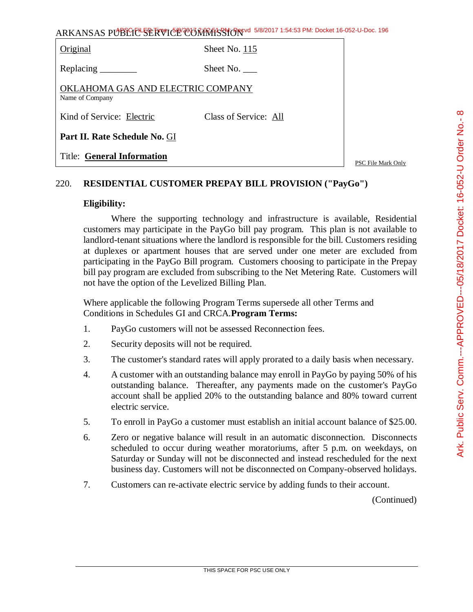| ARKANSAS PUBLIC SERVICE CONTRASSION 5/8/2017 1:54:53 PM: Docket 16-052-U-Doc. 196 |  |
|-----------------------------------------------------------------------------------|--|
|-----------------------------------------------------------------------------------|--|

| Original                                             | Sheet No. 115         |       |
|------------------------------------------------------|-----------------------|-------|
| Replacing _______                                    | Sheet No. $\_\_$      |       |
| OKLAHOMA GAS AND ELECTRIC COMPANY<br>Name of Company |                       |       |
| Kind of Service: Electric                            | Class of Service: All |       |
| Part II. Rate Schedule No. GI                        |                       |       |
| <b>Title: General Information</b>                    |                       | PSC F |

File Mark Only

# 220. **RESIDENTIAL CUSTOMER PREPAY BILL PROVISION ("PayGo")**

#### **Eligibility:**

Where the supporting technology and infrastructure is available, Residential customers may participate in the PayGo bill pay program. This plan is not available to landlord-tenant situations where the landlord is responsible for the bill. Customers residing at duplexes or apartment houses that are served under one meter are excluded from participating in the PayGo Bill program. Customers choosing to participate in the Prepay bill pay program are excluded from subscribing to the Net Metering Rate. Customers will not have the option of the Levelized Billing Plan.

Where applicable the following Program Terms supersede all other Terms and Conditions in Schedules GI and CRCA.**Program Terms:**

- 1. PayGo customers will not be assessed Reconnection fees.
- 2. Security deposits will not be required.
- 3. The customer's standard rates will apply prorated to a daily basis when necessary.
- 4. A customer with an outstanding balance may enroll in PayGo by paying 50% of his outstanding balance. Thereafter, any payments made on the customer's PayGo account shall be applied 20% to the outstanding balance and 80% toward current electric service.
- 5. To enroll in PayGo a customer must establish an initial account balance of \$25.00.
- 6. Zero or negative balance will result in an automatic disconnection. Disconnects scheduled to occur during weather moratoriums, after 5 p.m. on weekdays, on Saturday or Sunday will not be disconnected and instead rescheduled for the next business day. Customers will not be disconnected on Company-observed holidays.
- 7. Customers can re-activate electric service by adding funds to their account.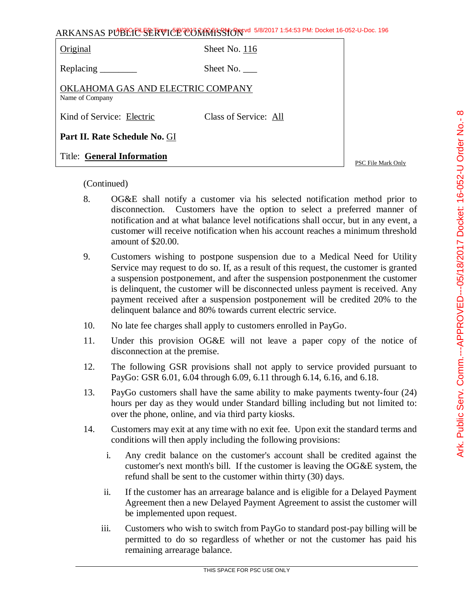| ly<br>$\mathbf{r}$<br>to<br>r of<br>nt, a<br>hold |                  |
|---------------------------------------------------|------------------|
| ility<br>nted<br>mer<br>Any<br>the                |                  |
| of                                                |                  |
| ıt<br>to                                          |                  |
| (24)<br>d to:                                     |                  |
| and                                               | Ark. Public Sery |
| the                                               |                  |

ARKANSAS PUBLIC SERVICE COMMISSION 5/8/2017 1:54:53 PM: Docket 16-052-U-Doc. 196

| Original                                             | Sheet No. 116         |
|------------------------------------------------------|-----------------------|
| Replacing $\qquad$                                   | Sheet No.             |
| OKLAHOMA GAS AND ELECTRIC COMPANY<br>Name of Company |                       |
| Kind of Service: Electric                            | Class of Service: All |
| Part II. Rate Schedule No. GI                        |                       |
| <b>Title: General Information</b>                    |                       |

PSC File Mark Only

- 8. OG&E shall notify a customer via his selected notification method prior to disconnection. Customers have the option to select a preferred manner of notification and at what balance level notifications shall occur, but in any event, a customer will receive notification when his account reaches a minimum threshold amount of \$20.00.
- 9. Customers wishing to postpone suspension due to a Medical Need for Utility Service may request to do so. If, as a result of this request, the customer is granted a suspension postponement, and after the suspension postponenment the customer is delinquent, the customer will be disconnected unless payment is received. Any payment received after a suspension postponement will be credited 20% to the delinquent balance and 80% towards current electric service.
- 10. No late fee charges shall apply to customers enrolled in PayGo.
- 11. Under this provision OG&E will not leave a paper copy of the notice of disconnection at the premise.
- 12. The following GSR provisions shall not apply to service provided pursuant to PayGo: GSR 6.01, 6.04 through 6.09, 6.11 through 6.14, 6.16, and 6.18.
- 13. PayGo customers shall have the same ability to make payments twenty-four (24) hours per day as they would under Standard billing including but not limited to: over the phone, online, and via third party kiosks.
- 14. Customers may exit at any time with no exit fee. Upon exit the standard terms and conditions will then apply including the following provisions:
	- i. Any credit balance on the customer's account shall be credited against the customer's next month's bill. If the customer is leaving the OG&E system, the refund shall be sent to the customer within thirty (30) days.
	- ii. If the customer has an arrearage balance and is eligible for a Delayed Payment Agreement then a new Delayed Payment Agreement to assist the customer will be implemented upon request.
	- iii. Customers who wish to switch from PayGo to standard post-pay billing will be permitted to do so regardless of whether or not the customer has paid his remaining arrearage balance.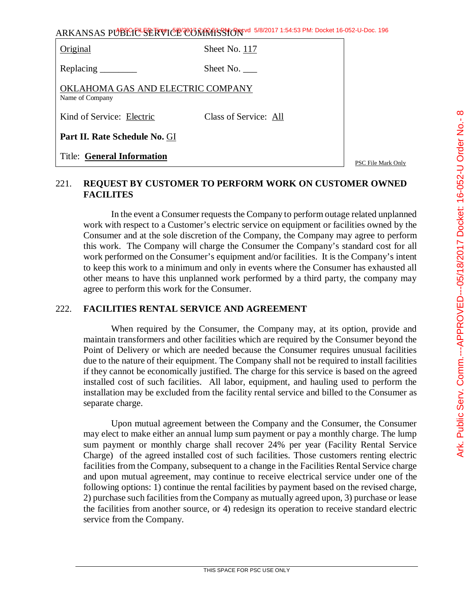| Original                                             | Sheet No. 117         |              |
|------------------------------------------------------|-----------------------|--------------|
| Replacing $\frac{\ }{\ }$                            | Sheet No.             |              |
| OKLAHOMA GAS AND ELECTRIC COMPANY<br>Name of Company |                       |              |
| Kind of Service: Electric                            | Class of Service: All |              |
| Part II. Rate Schedule No. GI                        |                       |              |
| <b>Title: General Information</b>                    |                       | $PSC$ File M |

lark Only

# 221. **REQUEST BY CUSTOMER TO PERFORM WORK ON CUSTOMER OWNED FACILITES**

In the event a Consumer requests the Company to perform outage related unplanned work with respect to a Customer's electric service on equipment or facilities owned by the Consumer and at the sole discretion of the Company, the Company may agree to perform this work. The Company will charge the Consumer the Company's standard cost for all work performed on the Consumer's equipment and/or facilities. It is the Company's intent to keep this work to a minimum and only in events where the Consumer has exhausted all other means to have this unplanned work performed by a third party, the company may agree to perform this work for the Consumer.

## 222. **FACILITIES RENTAL SERVICE AND AGREEMENT**

When required by the Consumer, the Company may, at its option, provide and maintain transformers and other facilities which are required by the Consumer beyond the Point of Delivery or which are needed because the Consumer requires unusual facilities due to the nature of their equipment. The Company shall not be required to install facilities if they cannot be economically justified. The charge for this service is based on the agreed installed cost of such facilities. All labor, equipment, and hauling used to perform the installation may be excluded from the facility rental service and billed to the Consumer as separate charge.

Upon mutual agreement between the Company and the Consumer, the Consumer may elect to make either an annual lump sum payment or pay a monthly charge. The lump sum payment or monthly charge shall recover 24% per year (Facility Rental Service Charge) of the agreed installed cost of such facilities. Those customers renting electric facilities from the Company, subsequent to a change in the Facilities Rental Service charge and upon mutual agreement, may continue to receive electrical service under one of the following options: 1) continue the rental facilities by payment based on the revised charge, 2) purchase such facilities from the Company as mutually agreed upon, 3) purchase or lease the facilities from another source, or 4) redesign its operation to receive standard electric service from the Company.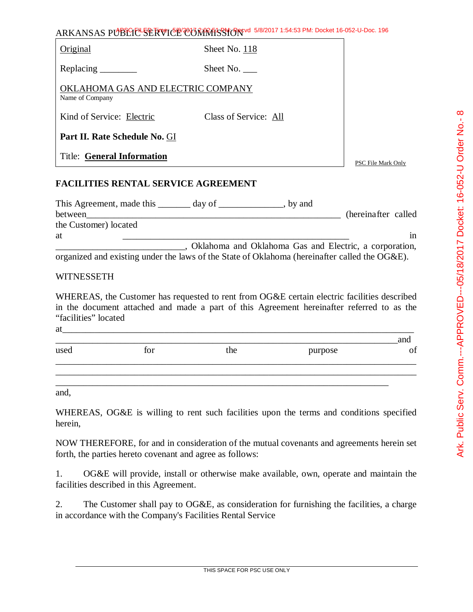| Original                                             | Sheet No. 118         |                    |
|------------------------------------------------------|-----------------------|--------------------|
| Replacing $\_\_\_\_\_\_\_\_\_\_\_\$                  | Sheet No.             |                    |
| OKLAHOMA GAS AND ELECTRIC COMPANY<br>Name of Company |                       |                    |
| Kind of Service: Electric                            | Class of Service: All |                    |
| Part II. Rate Schedule No. GI                        |                       |                    |
| <b>Title: General Information</b>                    |                       | PSC File Mark Only |

APSC FILED Time: 5/8/2017 2:02:51 PM: Recvd 5/8/2017 1:54:53 PM: Docket 16-052-U-Doc. 196

# **FACILITIES RENTAL SERVICE AGREEMENT**

| This Agreement, made this ________ day of ______                                              |                                                        | , by and |                      |
|-----------------------------------------------------------------------------------------------|--------------------------------------------------------|----------|----------------------|
| between                                                                                       |                                                        |          | (hereinafter called) |
| the Customer) located                                                                         |                                                        |          |                      |
| at                                                                                            |                                                        |          |                      |
|                                                                                               | Oklahoma and Oklahoma Gas and Electric, a corporation, |          |                      |
| organized and existing under the laws of the State of Oklahoma (hereinafter called the OG&E). |                                                        |          |                      |

## **WITNESSETH**

WHEREAS, the Customer has requested to rent from OG&E certain electric facilities described in the document attached and made a part of this Agreement hereinafter referred to as the "facilities" located

at\_\_\_\_\_\_\_\_\_\_\_\_\_\_\_\_\_\_\_\_\_\_\_\_\_\_\_\_\_\_\_\_\_\_\_\_\_\_\_\_\_\_\_\_\_\_\_\_\_\_\_\_\_\_\_\_\_\_\_\_\_\_\_\_\_\_\_\_\_\_\_\_\_\_\_\_

| used | tor | the | purpose | and<br>$\sim$<br>ΟI |
|------|-----|-----|---------|---------------------|
|      |     |     |         |                     |
|      |     |     |         |                     |

and,

WHEREAS, OG&E is willing to rent such facilities upon the terms and conditions specified herein,

NOW THEREFORE, for and in consideration of the mutual covenants and agreements herein set forth, the parties hereto covenant and agree as follows:

1. OG&E will provide, install or otherwise make available, own, operate and maintain the facilities described in this Agreement.

2. The Customer shall pay to OG&E, as consideration for furnishing the facilities, a charge in accordance with the Company's Facilities Rental Service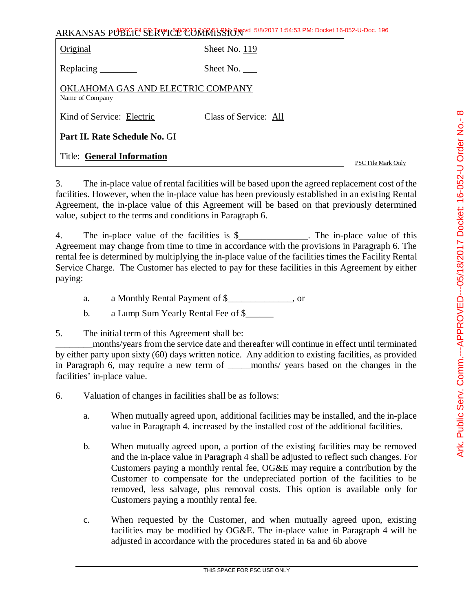|                                                      | ARKANSAS PUBLIC <sup>L</sup> SERVICE CONRESSION 5/8/2017 1:54:53 PM: Docket 16-052-U-Doc. 196 |                    |
|------------------------------------------------------|-----------------------------------------------------------------------------------------------|--------------------|
| Original                                             | Sheet No. 119                                                                                 |                    |
| Replacing $\_\_\_\_\_\_\_\_\_\_\_\_\$                | Sheet No. $\_\_$                                                                              |                    |
| OKLAHOMA GAS AND ELECTRIC COMPANY<br>Name of Company |                                                                                               |                    |
| Kind of Service: Electric                            | Class of Service: All                                                                         |                    |
| Part II. Rate Schedule No. GI                        |                                                                                               |                    |
| <b>Title: General Information</b>                    |                                                                                               | PSC File Mark Only |

3. The in-place value of rental facilities will be based upon the agreed replacement cost of the facilities. However, when the in-place value has been previously established in an existing Rental Agreement, the in-place value of this Agreement will be based on that previously determined value, subject to the terms and conditions in Paragraph 6.

4. The in-place value of the facilities is \$\_\_\_\_\_\_\_\_\_\_\_\_. The in-place value of this Agreement may change from time to time in accordance with the provisions in Paragraph 6. The rental fee is determined by multiplying the in-place value of the facilities times the Facility Rental Service Charge. The Customer has elected to pay for these facilities in this Agreement by either paying:

a. a Monthly Rental Payment of \$\_\_\_\_\_\_\_\_\_\_\_\_\_\_, or

b. a Lump Sum Yearly Rental Fee of \$

5. The initial term of this Agreement shall be:

\_\_\_\_\_\_\_\_months/years from the service date and thereafter will continue in effect until terminated by either party upon sixty (60) days written notice. Any addition to existing facilities, as provided in Paragraph 6, may require a new term of \_\_\_\_\_months/ years based on the changes in the facilities' in-place value.

6. Valuation of changes in facilities shall be as follows:

- a. When mutually agreed upon, additional facilities may be installed, and the in-place value in Paragraph 4. increased by the installed cost of the additional facilities.
- b. When mutually agreed upon, a portion of the existing facilities may be removed and the in-place value in Paragraph 4 shall be adjusted to reflect such changes. For Customers paying a monthly rental fee, OG&E may require a contribution by the Customer to compensate for the undepreciated portion of the facilities to be removed, less salvage, plus removal costs. This option is available only for Customers paying a monthly rental fee.
- c. When requested by the Customer, and when mutually agreed upon, existing facilities may be modified by OG&E. The in-place value in Paragraph 4 will be adjusted in accordance with the procedures stated in 6a and 6b above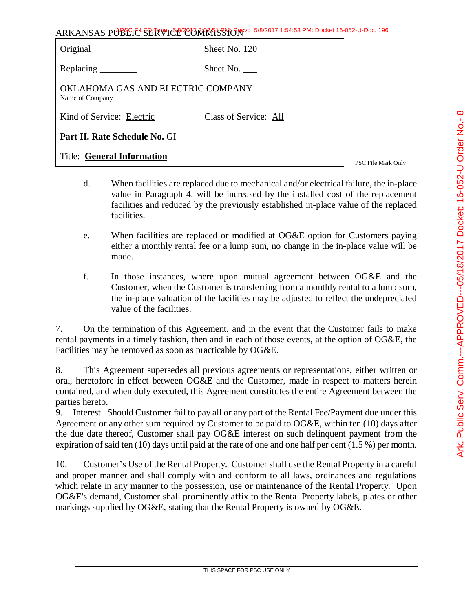| ARKANSAS PUBLIC SERVICE CONTRASSION 5/8/2017 1:54:53 PM: Docket 16-052-U-Doc. 196 |  |
|-----------------------------------------------------------------------------------|--|
|-----------------------------------------------------------------------------------|--|

| Original                                             | Sheet No. 120         |  |
|------------------------------------------------------|-----------------------|--|
|                                                      | Sheet No.             |  |
| OKLAHOMA GAS AND ELECTRIC COMPANY<br>Name of Company |                       |  |
| Kind of Service: Electric                            | Class of Service: All |  |
| Part II. Rate Schedule No. GI                        |                       |  |
| <b>Title: General Information</b>                    |                       |  |

- d. When facilities are replaced due to mechanical and/or electrical failure, the in-place value in Paragraph 4. will be increased by the installed cost of the replacement facilities and reduced by the previously established in-place value of the replaced facilities.
- e. When facilities are replaced or modified at OG&E option for Customers paying either a monthly rental fee or a lump sum, no change in the in-place value will be made.
- f. In those instances, where upon mutual agreement between OG&E and the Customer, when the Customer is transferring from a monthly rental to a lump sum, the in-place valuation of the facilities may be adjusted to reflect the undepreciated value of the facilities.

7. On the termination of this Agreement, and in the event that the Customer fails to make rental payments in a timely fashion, then and in each of those events, at the option of OG&E, the Facilities may be removed as soon as practicable by OG&E.

8. This Agreement supersedes all previous agreements or representations, either written or oral, heretofore in effect between OG&E and the Customer, made in respect to matters herein contained, and when duly executed, this Agreement constitutes the entire Agreement between the parties hereto.

9. Interest. Should Customer fail to pay all or any part of the Rental Fee/Payment due under this Agreement or any other sum required by Customer to be paid to OG&E, within ten (10) days after the due date thereof, Customer shall pay OG&E interest on such delinquent payment from the expiration of said ten (10) days until paid at the rate of one and one half per cent (1.5 %) per month.

10. Customer's Use of the Rental Property. Customer shall use the Rental Property in a careful and proper manner and shall comply with and conform to all laws, ordinances and regulations which relate in any manner to the possession, use or maintenance of the Rental Property. Upon OG&E's demand, Customer shall prominently affix to the Rental Property labels, plates or other markings supplied by OG&E, stating that the Rental Property is owned by OG&E.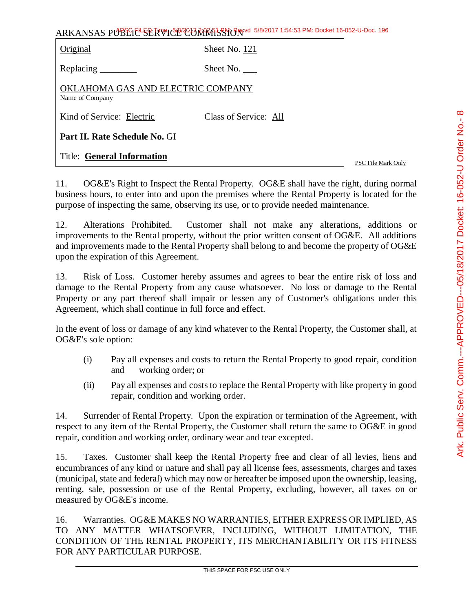| ARKANSAS PUBLIC <sup>L</sup> SERVICE CONRESSION 5/8/2017 1:54:53 PM: Docket 16-052-U-Doc. 196   |                       |                    |
|-------------------------------------------------------------------------------------------------|-----------------------|--------------------|
| Original                                                                                        | Sheet No. 121         |                    |
| Replacing $\frac{1}{\sqrt{1-\frac{1}{2}}\sqrt{1-\frac{1}{2}}\left\vert \frac{1}{2}\right\vert}$ | Sheet No.             |                    |
| OKLAHOMA GAS AND ELECTRIC COMPANY<br>Name of Company                                            |                       |                    |
| Kind of Service: Electric                                                                       | Class of Service: All |                    |
| Part II. Rate Schedule No. GI                                                                   |                       |                    |
| <b>Title: General Information</b>                                                               |                       | PSC File Mark Only |

11. OG&E's Right to Inspect the Rental Property. OG&E shall have the right, during normal business hours, to enter into and upon the premises where the Rental Property is located for the purpose of inspecting the same, observing its use, or to provide needed maintenance.

12. Alterations Prohibited. Customer shall not make any alterations, additions or improvements to the Rental property, without the prior written consent of OG&E. All additions and improvements made to the Rental Property shall belong to and become the property of OG&E upon the expiration of this Agreement.

13. Risk of Loss. Customer hereby assumes and agrees to bear the entire risk of loss and damage to the Rental Property from any cause whatsoever. No loss or damage to the Rental Property or any part thereof shall impair or lessen any of Customer's obligations under this Agreement, which shall continue in full force and effect.

In the event of loss or damage of any kind whatever to the Rental Property, the Customer shall, at OG&E's sole option:

- (i) Pay all expenses and costs to return the Rental Property to good repair, condition and working order; or
- (ii) Pay all expenses and costs to replace the Rental Property with like property in good repair, condition and working order.

14. Surrender of Rental Property. Upon the expiration or termination of the Agreement, with respect to any item of the Rental Property, the Customer shall return the same to OG&E in good repair, condition and working order, ordinary wear and tear excepted.

15. Taxes. Customer shall keep the Rental Property free and clear of all levies, liens and encumbrances of any kind or nature and shall pay all license fees, assessments, charges and taxes (municipal, state and federal) which may now or hereafter be imposed upon the ownership, leasing, renting, sale, possession or use of the Rental Property, excluding, however, all taxes on or measured by OG&E's income.

16. Warranties. OG&E MAKES NO WARRANTIES, EITHER EXPRESS OR IMPLIED, AS TO ANY MATTER WHATSOEVER, INCLUDING, WITHOUT LIMITATION, THE CONDITION OF THE RENTAL PROPERTY, ITS MERCHANTABILITY OR ITS FITNESS FOR ANY PARTICULAR PURPOSE.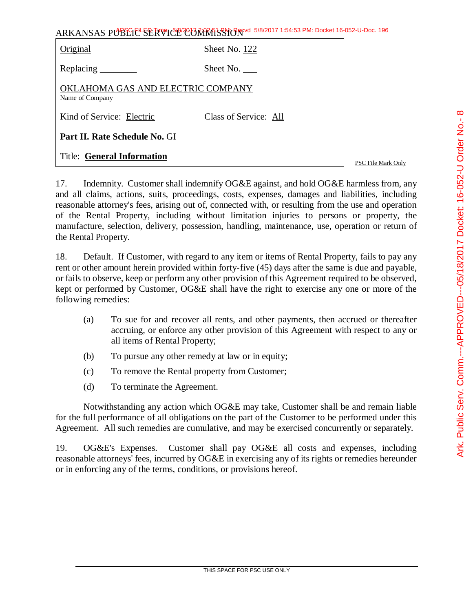| ARKANSAS PUBLIC SERVICE CORRECT 5/8/2017 1:54:53 PM: Docket 16-052-U-Doc. 196 |                       |                    |
|-------------------------------------------------------------------------------|-----------------------|--------------------|
| Original                                                                      | Sheet No. 122         |                    |
|                                                                               | Sheet No.             |                    |
| OKLAHOMA GAS AND ELECTRIC COMPANY<br>Name of Company                          |                       |                    |
| Kind of Service: Electric                                                     | Class of Service: All |                    |
| Part II. Rate Schedule No. GI                                                 |                       |                    |
| <b>Title: General Information</b>                                             |                       | PSC File Mark Only |

17. Indemnity. Customer shall indemnify OG&E against, and hold OG&E harmless from, any and all claims, actions, suits, proceedings, costs, expenses, damages and liabilities, including reasonable attorney's fees, arising out of, connected with, or resulting from the use and operation of the Rental Property, including without limitation injuries to persons or property, the manufacture, selection, delivery, possession, handling, maintenance, use, operation or return of the Rental Property.

18. Default. If Customer, with regard to any item or items of Rental Property, fails to pay any rent or other amount herein provided within forty-five (45) days after the same is due and payable, or fails to observe, keep or perform any other provision of this Agreement required to be observed, kept or performed by Customer, OG&E shall have the right to exercise any one or more of the following remedies:

- (a) To sue for and recover all rents, and other payments, then accrued or thereafter accruing, or enforce any other provision of this Agreement with respect to any or all items of Rental Property;
- (b) To pursue any other remedy at law or in equity;
- (c) To remove the Rental property from Customer;
- (d) To terminate the Agreement.

Notwithstanding any action which OG&E may take, Customer shall be and remain liable for the full performance of all obligations on the part of the Customer to be performed under this Agreement. All such remedies are cumulative, and may be exercised concurrently or separately.

19. OG&E's Expenses. Customer shall pay OG&E all costs and expenses, including reasonable attorneys' fees, incurred by OG&E in exercising any of its rights or remedies hereunder or in enforcing any of the terms, conditions, or provisions hereof.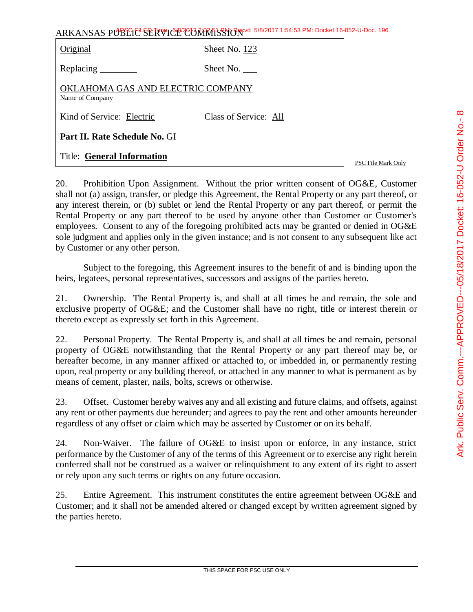| ARKANSAS PUBLIC SERVICE COMMISSION 5/8/2017 1:54:53 PM: Docket 16-052-U-Doc. 196 |                       |                    |
|----------------------------------------------------------------------------------|-----------------------|--------------------|
| Original                                                                         | Sheet No. 123         |                    |
| Replacing                                                                        | Sheet No.             |                    |
| OKLAHOMA GAS AND ELECTRIC COMPANY<br>Name of Company                             |                       |                    |
| Kind of Service: Electric                                                        | Class of Service: All |                    |
| Part II. Rate Schedule No. GI                                                    |                       |                    |
| <b>Title: General Information</b>                                                |                       | PSC File Mark Only |

20. Prohibition Upon Assignment. Without the prior written consent of OG&E, Customer shall not (a) assign, transfer, or pledge this Agreement, the Rental Property or any part thereof, or any interest therein, or (b) sublet or lend the Rental Property or any part thereof, or permit the Rental Property or any part thereof to be used by anyone other than Customer or Customer's employees. Consent to any of the foregoing prohibited acts may be granted or denied in OG&E sole judgment and applies only in the given instance; and is not consent to any subsequent like act by Customer or any other person.

Subject to the foregoing, this Agreement insures to the benefit of and is binding upon the heirs, legatees, personal representatives, successors and assigns of the parties hereto.

21. Ownership. The Rental Property is, and shall at all times be and remain, the sole and exclusive property of OG&E; and the Customer shall have no right, title or interest therein or thereto except as expressly set forth in this Agreement.

22. Personal Property. The Rental Property is, and shall at all times be and remain, personal property of OG&E notwithstanding that the Rental Property or any part thereof may be, or hereafter become, in any manner affixed or attached to, or imbedded in, or permanently resting upon, real property or any building thereof, or attached in any manner to what is permanent as by means of cement, plaster, nails, bolts, screws or otherwise.

23. Offset. Customer hereby waives any and all existing and future claims, and offsets, against any rent or other payments due hereunder; and agrees to pay the rent and other amounts hereunder regardless of any offset or claim which may be asserted by Customer or on its behalf.

24. Non-Waiver. The failure of OG&E to insist upon or enforce, in any instance, strict performance by the Customer of any of the terms of this Agreement or to exercise any right herein conferred shall not be construed as a waiver or relinquishment to any extent of its right to assert or rely upon any such terms or rights on any future occasion.

25. Entire Agreement. This instrument constitutes the entire agreement between OG&E and Customer; and it shall not be amended altered or changed except by written agreement signed by the parties hereto.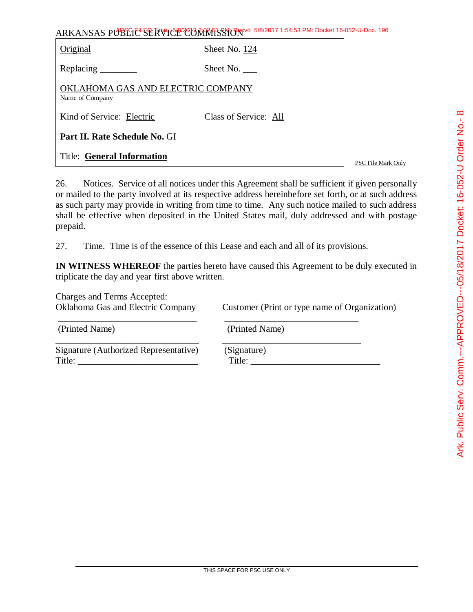| ARKANSAS PUBLICL SERVICE CORRATS TO 5/8/2017 1:54:53 PM: Docket 16-052-U-Doc. 196 |                       |                    |
|-----------------------------------------------------------------------------------|-----------------------|--------------------|
| Original                                                                          | Sheet No. 124         |                    |
|                                                                                   | Sheet No. $\_\_$      |                    |
| OKLAHOMA GAS AND ELECTRIC COMPANY<br>Name of Company                              |                       |                    |
| Kind of Service: Electric                                                         | Class of Service: All |                    |
| Part II. Rate Schedule No. GI                                                     |                       |                    |
| <b>Title: General Information</b>                                                 |                       | PSC File Mark Only |

26. Notices. Service of all notices under this Agreement shall be sufficient if given personally or mailed to the party involved at its respective address hereinbefore set forth, or at such address as such party may provide in writing from time to time. Any such notice mailed to such address shall be effective when deposited in the United States mail, duly addressed and with postage prepaid.

27. Time. Time is of the essence of this Lease and each and all of its provisions.

\_\_\_\_\_\_\_\_\_\_\_\_\_\_\_\_\_\_\_\_\_\_\_\_\_\_\_\_\_\_ \_\_\_\_\_\_\_\_\_\_\_\_\_\_\_\_\_\_\_\_\_\_\_\_\_\_\_\_\_

**IN WITNESS WHEREOF** the parties hereto have caused this Agreement to be duly executed in triplicate the day and year first above written.

Charges and Terms Accepted:

Oklahoma Gas and Electric Company Customer (Print or type name of Organization)

(Printed Name) (Printed Name)

Signature (Authorized Representative) (Signature) Title: \_\_\_\_\_\_\_\_\_\_\_\_\_\_\_\_\_\_\_\_\_\_\_\_\_\_ Title: \_\_\_\_\_\_\_\_\_\_\_\_\_\_\_\_\_\_\_\_\_\_\_\_\_\_\_\_

\_\_\_\_\_\_\_\_\_\_\_\_\_\_\_\_\_\_\_\_\_\_\_\_\_\_\_\_\_\_\_ \_\_\_\_\_\_\_\_\_\_\_\_\_\_\_\_\_\_\_\_\_\_\_\_\_\_\_\_\_\_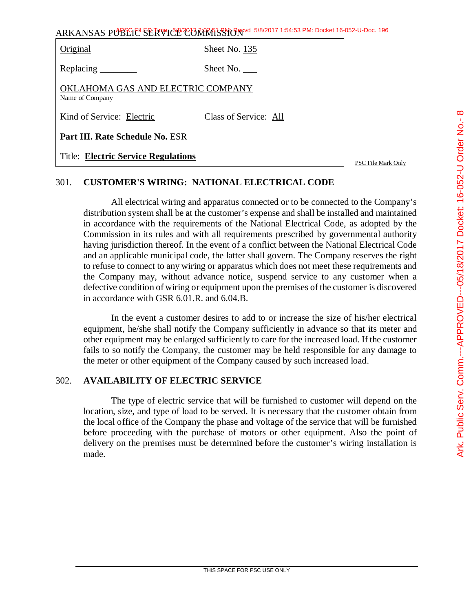| ARKANSAS PUBLIC SERVICE CONTRASSION 5/8/2017 1:54:53 PM: Docket 16-052-U-Doc. 196 |  |
|-----------------------------------------------------------------------------------|--|
|-----------------------------------------------------------------------------------|--|

| Original                                             | Sheet No. 135         |
|------------------------------------------------------|-----------------------|
| Replacing                                            | Sheet No.             |
| OKLAHOMA GAS AND ELECTRIC COMPANY<br>Name of Company |                       |
| Kind of Service: Electric                            | Class of Service: All |
| Part III. Rate Schedule No. ESR                      |                       |
| <b>Title: Electric Service Regulations</b>           |                       |

# 301. **CUSTOMER'S WIRING: NATIONAL ELECTRICAL CODE**

All electrical wiring and apparatus connected or to be connected to the Company's distribution system shall be at the customer's expense and shall be installed and maintained in accordance with the requirements of the National Electrical Code, as adopted by the Commission in its rules and with all requirements prescribed by governmental authority having jurisdiction thereof. In the event of a conflict between the National Electrical Code and an applicable municipal code, the latter shall govern. The Company reserves the right to refuse to connect to any wiring or apparatus which does not meet these requirements and the Company may, without advance notice, suspend service to any customer when a defective condition of wiring or equipment upon the premises of the customer is discovered in accordance with GSR 6.01.R. and 6.04.B.

In the event a customer desires to add to or increase the size of his/her electrical equipment, he/she shall notify the Company sufficiently in advance so that its meter and other equipment may be enlarged sufficiently to care for the increased load. If the customer fails to so notify the Company, the customer may be held responsible for any damage to the meter or other equipment of the Company caused by such increased load.

# 302. **AVAILABILITY OF ELECTRIC SERVICE**

The type of electric service that will be furnished to customer will depend on the location, size, and type of load to be served. It is necessary that the customer obtain from the local office of the Company the phase and voltage of the service that will be furnished before proceeding with the purchase of motors or other equipment. Also the point of delivery on the premises must be determined before the customer's wiring installation is made.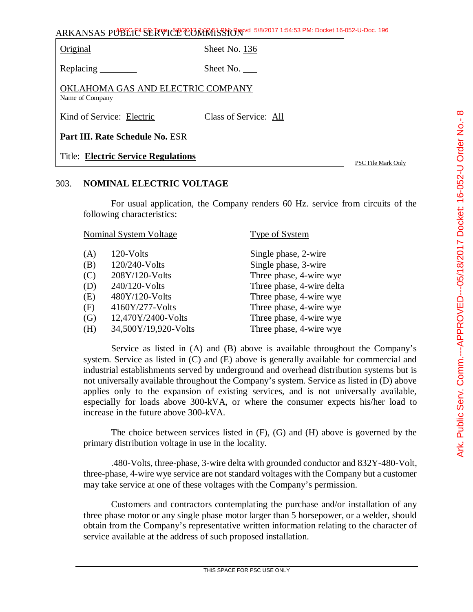Original Sheet No. 136

Replacing Sheet No.

OKLAHOMA GAS AND ELECTRIC COMPANY Name of Company

Kind of Service: Electric Class of Service: All

**Part III. Rate Schedule No.** ESR

Title: **Electric Service Regulations**

PSC File Mark Only

# 303. **NOMINAL ELECTRIC VOLTAGE**

For usual application, the Company renders 60 Hz. service from circuits of the following characteristics:

|     | <b>Nominal System Voltage</b> | Type of System            |
|-----|-------------------------------|---------------------------|
| (A) | 120-Volts                     | Single phase, 2-wire      |
| (B) | 120/240-Volts                 | Single phase, 3-wire      |
| (C) | 208Y/120-Volts                | Three phase, 4-wire wye   |
| (D) | 240/120-Volts                 | Three phase, 4-wire delta |
| (E) | 480Y/120-Volts                | Three phase, 4-wire wye   |
| (F) | 4160Y/277-Volts               | Three phase, 4-wire wye   |
| (G) | 12,470Y/2400-Volts            | Three phase, 4-wire wye   |
| (H) | 34,500Y/19,920-Volts          | Three phase, 4-wire wye   |
|     |                               |                           |

Service as listed in (A) and (B) above is available throughout the Company's system. Service as listed in (C) and (E) above is generally available for commercial and industrial establishments served by underground and overhead distribution systems but is not universally available throughout the Company's system. Service as listed in (D) above applies only to the expansion of existing services, and is not universally available, especially for loads above 300-kVA, or where the consumer expects his/her load to increase in the future above 300-kVA.

The choice between services listed in (F), (G) and (H) above is governed by the primary distribution voltage in use in the locality.

.480-Volts, three-phase, 3-wire delta with grounded conductor and 832Y-480-Volt, three-phase, 4-wire wye service are not standard voltages with the Company but a customer may take service at one of these voltages with the Company's permission.

Customers and contractors contemplating the purchase and/or installation of any three phase motor or any single phase motor larger than 5 horsepower, or a welder, should obtain from the Company's representative written information relating to the character of service available at the address of such proposed installation.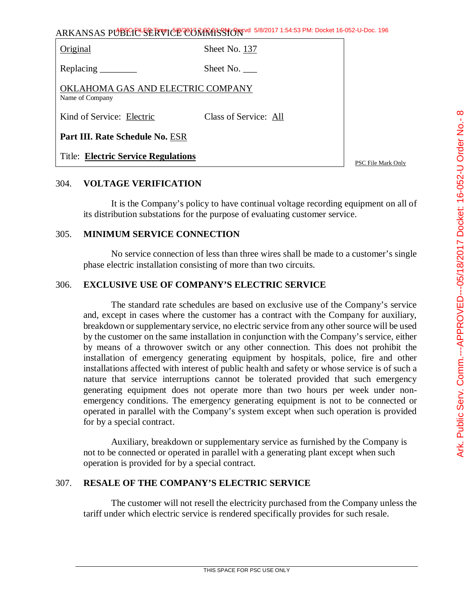Original Sheet No. 137

Replacing Sheet No.

OKLAHOMA GAS AND ELECTRIC COMPANY Name of Company

Kind of Service: Electric Class of Service: All

**Part III. Rate Schedule No.** ESR

Title: **Electric Service Regulations**

PSC File Mark Only

## 304. **VOLTAGE VERIFICATION**

It is the Company's policy to have continual voltage recording equipment on all of its distribution substations for the purpose of evaluating customer service.

#### 305. **MINIMUM SERVICE CONNECTION**

No service connection of less than three wires shall be made to a customer's single phase electric installation consisting of more than two circuits.

#### 306. **EXCLUSIVE USE OF COMPANY'S ELECTRIC SERVICE**

The standard rate schedules are based on exclusive use of the Company's service and, except in cases where the customer has a contract with the Company for auxiliary, breakdown or supplementary service, no electric service from any other source will be used by the customer on the same installation in conjunction with the Company's service, either by means of a throwover switch or any other connection. This does not prohibit the installation of emergency generating equipment by hospitals, police, fire and other installations affected with interest of public health and safety or whose service is of such a nature that service interruptions cannot be tolerated provided that such emergency generating equipment does not operate more than two hours per week under nonemergency conditions. The emergency generating equipment is not to be connected or operated in parallel with the Company's system except when such operation is provided for by a special contract.

Auxiliary, breakdown or supplementary service as furnished by the Company is not to be connected or operated in parallel with a generating plant except when such operation is provided for by a special contract.

## 307. **RESALE OF THE COMPANY'S ELECTRIC SERVICE**

The customer will not resell the electricity purchased from the Company unless the tariff under which electric service is rendered specifically provides for such resale.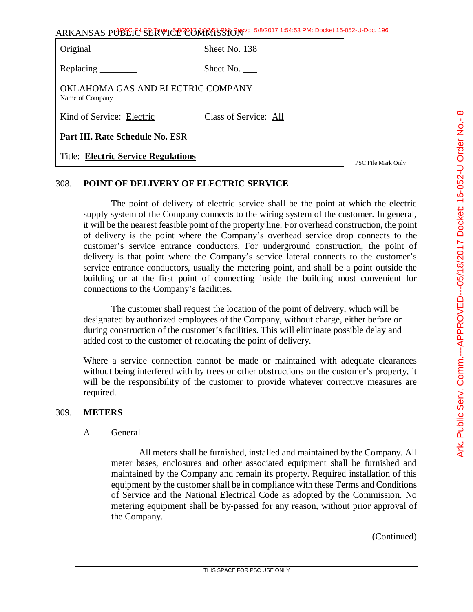| ARKANSAS PUBLIC <sup>L</sup> SERVICE COMMISSION 5/8/2017 1:54:53 PM: Docket 16-052-U-Doc. 196 |                       |                    |
|-----------------------------------------------------------------------------------------------|-----------------------|--------------------|
| Original                                                                                      | Sheet No. 138         |                    |
|                                                                                               | Sheet No.             |                    |
| OKLAHOMA GAS AND ELECTRIC COMPANY<br>Name of Company                                          |                       |                    |
| Kind of Service: Electric                                                                     | Class of Service: All |                    |
| Part III. Rate Schedule No. ESR                                                               |                       |                    |
| <b>Title: Electric Service Regulations</b>                                                    |                       | PSC File Mark Only |

## 308. **POINT OF DELIVERY OF ELECTRIC SERVICE**

The point of delivery of electric service shall be the point at which the electric supply system of the Company connects to the wiring system of the customer. In general, it will be the nearest feasible point of the property line. For overhead construction, the point of delivery is the point where the Company's overhead service drop connects to the customer's service entrance conductors. For underground construction, the point of delivery is that point where the Company's service lateral connects to the customer's service entrance conductors, usually the metering point, and shall be a point outside the building or at the first point of connecting inside the building most convenient for connections to the Company's facilities.

The customer shall request the location of the point of delivery, which will be designated by authorized employees of the Company, without charge, either before or during construction of the customer's facilities. This will eliminate possible delay and added cost to the customer of relocating the point of delivery.

Where a service connection cannot be made or maintained with adequate clearances without being interfered with by trees or other obstructions on the customer's property, it will be the responsibility of the customer to provide whatever corrective measures are required.

## 309. **METERS**

## A. General

All meters shall be furnished, installed and maintained by the Company. All meter bases, enclosures and other associated equipment shall be furnished and maintained by the Company and remain its property. Required installation of this equipment by the customer shall be in compliance with these Terms and Conditions of Service and the National Electrical Code as adopted by the Commission. No metering equipment shall be by-passed for any reason, without prior approval of the Company.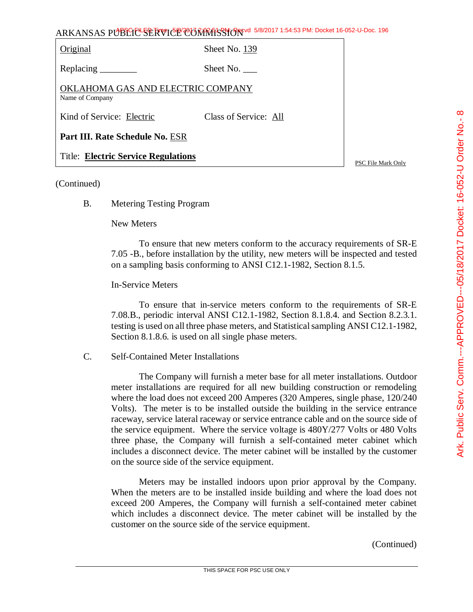| Original                                             | Sheet No. 139         |
|------------------------------------------------------|-----------------------|
|                                                      | Sheet No.             |
| OKLAHOMA GAS AND ELECTRIC COMPANY<br>Name of Company |                       |
| Kind of Service: Electric                            | Class of Service: All |
| Part III. Rate Schedule No. ESR                      |                       |
| <b>Title: Electric Service Regulations</b>           |                       |

PSC File Mark Only

#### (Continued)

B. Metering Testing Program

#### New Meters

To ensure that new meters conform to the accuracy requirements of SR-E 7.05 -B., before installation by the utility, new meters will be inspected and tested on a sampling basis conforming to ANSI C12.1-1982, Section 8.1.5.

## In-Service Meters

To ensure that in-service meters conform to the requirements of SR-E 7.08.B., periodic interval ANSI C12.1-1982, Section 8.1.8.4. and Section 8.2.3.1. testing is used on all three phase meters, and Statistical sampling ANSI C12.1-1982, Section 8.1.8.6. is used on all single phase meters.

C. Self-Contained Meter Installations

The Company will furnish a meter base for all meter installations. Outdoor meter installations are required for all new building construction or remodeling where the load does not exceed 200 Amperes (320 Amperes, single phase, 120/240 Volts). The meter is to be installed outside the building in the service entrance raceway, service lateral raceway or service entrance cable and on the source side of the service equipment. Where the service voltage is 480Y/277 Volts or 480 Volts three phase, the Company will furnish a self-contained meter cabinet which includes a disconnect device. The meter cabinet will be installed by the customer on the source side of the service equipment.

Meters may be installed indoors upon prior approval by the Company. When the meters are to be installed inside building and where the load does not exceed 200 Amperes, the Company will furnish a self-contained meter cabinet which includes a disconnect device. The meter cabinet will be installed by the customer on the source side of the service equipment.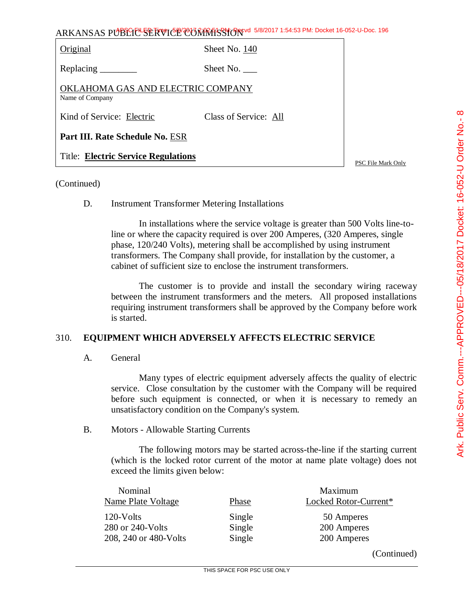| ARKANSAS PUBLIC <sup>L</sup> SERVICE COMMISSION 5/8/2017 1:54:53 PM: Docket 16-052-U-Doc. 196 |                       |                    |
|-----------------------------------------------------------------------------------------------|-----------------------|--------------------|
| Original                                                                                      | Sheet No. 140         |                    |
|                                                                                               | Sheet No.             |                    |
| OKLAHOMA GAS AND ELECTRIC COMPANY<br>Name of Company                                          |                       |                    |
| Kind of Service: Electric                                                                     | Class of Service: All |                    |
| Part III. Rate Schedule No. ESR                                                               |                       |                    |
| <b>Title: Electric Service Regulations</b>                                                    |                       | PSC File Mark Only |

## (Continued)

#### D. Instrument Transformer Metering Installations

In installations where the service voltage is greater than 500 Volts line-toline or where the capacity required is over 200 Amperes, (320 Amperes, single phase, 120/240 Volts), metering shall be accomplished by using instrument transformers. The Company shall provide, for installation by the customer, a cabinet of sufficient size to enclose the instrument transformers.

The customer is to provide and install the secondary wiring raceway between the instrument transformers and the meters. All proposed installations requiring instrument transformers shall be approved by the Company before work is started.

## 310. **EQUIPMENT WHICH ADVERSELY AFFECTS ELECTRIC SERVICE**

A. General

Many types of electric equipment adversely affects the quality of electric service. Close consultation by the customer with the Company will be required before such equipment is connected, or when it is necessary to remedy an unsatisfactory condition on the Company's system.

#### B. Motors - Allowable Starting Currents

The following motors may be started across-the-line if the starting current (which is the locked rotor current of the motor at name plate voltage) does not exceed the limits given below:

| Nominal<br>Name Plate Voltage | Phase  | Maximum<br>Locked Rotor-Current* |
|-------------------------------|--------|----------------------------------|
| $120$ -Volts                  | Single | 50 Amperes                       |
| 280 or 240-Volts              | Single | 200 Amperes                      |
| 208, 240 or 480-Volts         | Single | 200 Amperes                      |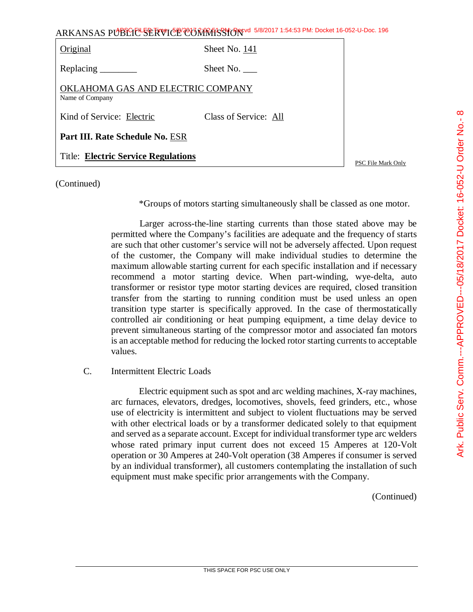| ARKANSAS PUBLIC SERVICE CONRESSION 6/8/2017 1:54:53 PM: Docket 16-052-U-Doc. 196 |                       |  |
|----------------------------------------------------------------------------------|-----------------------|--|
| Original                                                                         | Sheet No. 141         |  |
|                                                                                  | Sheet No.             |  |
| OKLAHOMA GAS AND ELECTRIC COMPANY<br>Name of Company                             |                       |  |
| Kind of Service: Electric                                                        | Class of Service: All |  |
| Part III. Rate Schedule No. ESR                                                  |                       |  |
| <b>Title: Electric Service Regulations</b>                                       |                       |  |

(Continued)

\*Groups of motors starting simultaneously shall be classed as one motor.

Larger across-the-line starting currents than those stated above may be permitted where the Company's facilities are adequate and the frequency of starts are such that other customer's service will not be adversely affected. Upon request of the customer, the Company will make individual studies to determine the maximum allowable starting current for each specific installation and if necessary recommend a motor starting device. When part-winding, wye-delta, auto transformer or resistor type motor starting devices are required, closed transition transfer from the starting to running condition must be used unless an open transition type starter is specifically approved. In the case of thermostatically controlled air conditioning or heat pumping equipment, a time delay device to prevent simultaneous starting of the compressor motor and associated fan motors is an acceptable method for reducing the locked rotor starting currents to acceptable values.

C. Intermittent Electric Loads

Electric equipment such as spot and arc welding machines, X-ray machines, arc furnaces, elevators, dredges, locomotives, shovels, feed grinders, etc., whose use of electricity is intermittent and subject to violent fluctuations may be served with other electrical loads or by a transformer dedicated solely to that equipment and served as a separate account. Except for individual transformer type arc welders whose rated primary input current does not exceed 15 Amperes at 120-Volt operation or 30 Amperes at 240-Volt operation (38 Amperes if consumer is served by an individual transformer), all customers contemplating the installation of such equipment must make specific prior arrangements with the Company.

(Continued)

PSC File Mark Only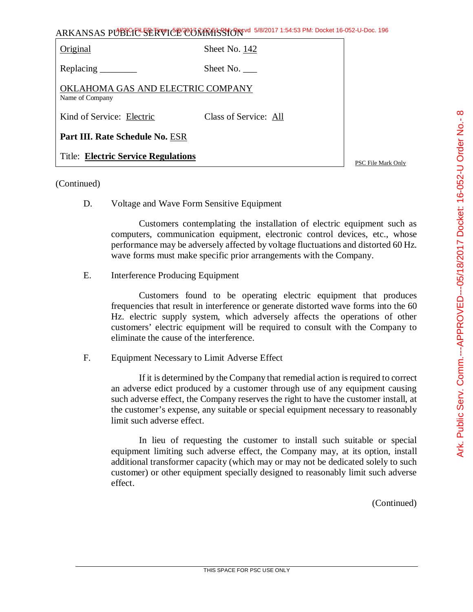| Original                                             | Sheet No. 142         |        |
|------------------------------------------------------|-----------------------|--------|
| Replacing                                            | Sheet No.             |        |
| OKLAHOMA GAS AND ELECTRIC COMPANY<br>Name of Company |                       |        |
| Kind of Service: Electric                            | Class of Service: All |        |
| Part III. Rate Schedule No. ESR                      |                       |        |
| <b>Title: Electric Service Regulations</b>           |                       | $\sim$ |

PSC File Mark Only

#### (Continued)

D. Voltage and Wave Form Sensitive Equipment

Customers contemplating the installation of electric equipment such as computers, communication equipment, electronic control devices, etc., whose performance may be adversely affected by voltage fluctuations and distorted 60 Hz. wave forms must make specific prior arrangements with the Company.

E. Interference Producing Equipment

Customers found to be operating electric equipment that produces frequencies that result in interference or generate distorted wave forms into the 60 Hz. electric supply system, which adversely affects the operations of other customers' electric equipment will be required to consult with the Company to eliminate the cause of the interference.

F. Equipment Necessary to Limit Adverse Effect

If it is determined by the Company that remedial action is required to correct an adverse edict produced by a customer through use of any equipment causing such adverse effect, the Company reserves the right to have the customer install, at the customer's expense, any suitable or special equipment necessary to reasonably limit such adverse effect.

In lieu of requesting the customer to install such suitable or special equipment limiting such adverse effect, the Company may, at its option, install additional transformer capacity (which may or may not be dedicated solely to such customer) or other equipment specially designed to reasonably limit such adverse effect.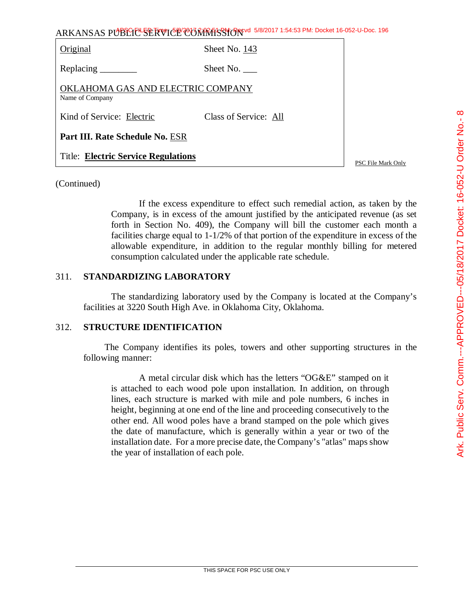| ARKANSAS PUBLIC SERVICE CORRECTS 5/8/2017 1:54:53 PM: Docket 16-052-U-Doc. 196 |                       |                    |
|--------------------------------------------------------------------------------|-----------------------|--------------------|
| Original                                                                       | Sheet No. 143         |                    |
|                                                                                | Sheet No.             |                    |
| OKLAHOMA GAS AND ELECTRIC COMPANY<br>Name of Company                           |                       |                    |
| Kind of Service: Electric                                                      | Class of Service: All |                    |
| Part III. Rate Schedule No. ESR                                                |                       |                    |
| <b>Title: Electric Service Regulations</b>                                     |                       | PSC File Mark Only |

# (Continued)

If the excess expenditure to effect such remedial action, as taken by the Company, is in excess of the amount justified by the anticipated revenue (as set forth in Section No. 409), the Company will bill the customer each month a facilities charge equal to 1-1/2% of that portion of the expenditure in excess of the allowable expenditure, in addition to the regular monthly billing for metered consumption calculated under the applicable rate schedule.

# 311. **STANDARDIZING LABORATORY**

The standardizing laboratory used by the Company is located at the Company's facilities at 3220 South High Ave. in Oklahoma City, Oklahoma.

# 312. **STRUCTURE IDENTIFICATION**

The Company identifies its poles, towers and other supporting structures in the following manner:

A metal circular disk which has the letters "OG&E" stamped on it is attached to each wood pole upon installation. In addition, on through lines, each structure is marked with mile and pole numbers, 6 inches in height, beginning at one end of the line and proceeding consecutively to the other end. All wood poles have a brand stamped on the pole which gives the date of manufacture, which is generally within a year or two of the installation date. For a more precise date, the Company's "atlas" maps show the year of installation of each pole.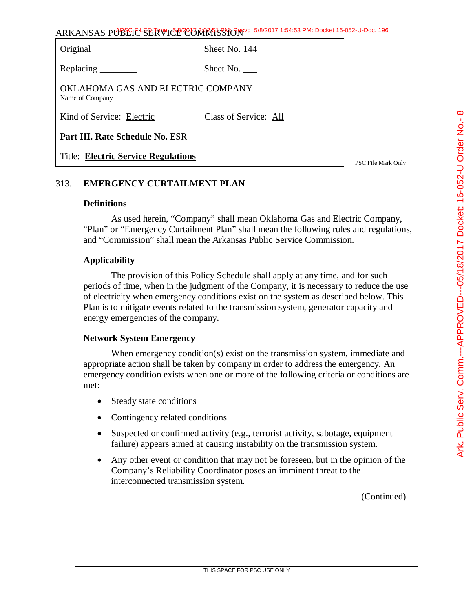Original Sheet No. 144

Replacing Sheet No.

OKLAHOMA GAS AND ELECTRIC COMPANY Name of Company

Kind of Service: Electric Class of Service: All

**Part III. Rate Schedule No.** ESR

Title: **Electric Service Regulations**

PSC File Mark Only

# 313. **EMERGENCY CURTAILMENT PLAN**

#### **Definitions**

As used herein, "Company" shall mean Oklahoma Gas and Electric Company, "Plan" or "Emergency Curtailment Plan" shall mean the following rules and regulations, and "Commission" shall mean the Arkansas Public Service Commission.

## **Applicability**

The provision of this Policy Schedule shall apply at any time, and for such periods of time, when in the judgment of the Company, it is necessary to reduce the use of electricity when emergency conditions exist on the system as described below. This Plan is to mitigate events related to the transmission system, generator capacity and energy emergencies of the company.

## **Network System Emergency**

When emergency condition(s) exist on the transmission system, immediate and appropriate action shall be taken by company in order to address the emergency. An emergency condition exists when one or more of the following criteria or conditions are met:

- Steady state conditions
- Contingency related conditions
- Suspected or confirmed activity (e.g., terrorist activity, sabotage, equipment failure) appears aimed at causing instability on the transmission system.
- Any other event or condition that may not be foreseen, but in the opinion of the Company's Reliability Coordinator poses an imminent threat to the interconnected transmission system.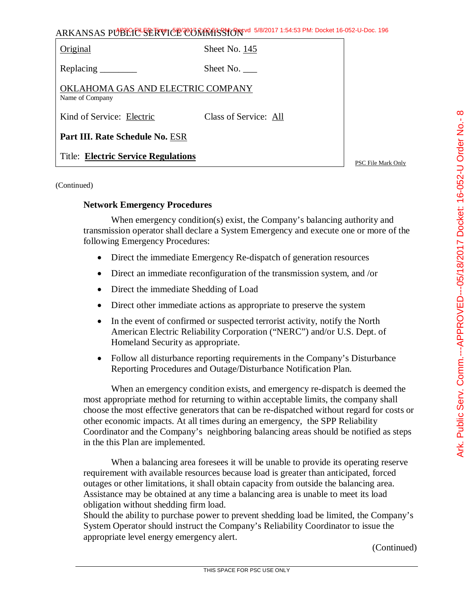| Original                                             | Sheet No. 145         |
|------------------------------------------------------|-----------------------|
| Replacing ________                                   | Sheet No. $\_\_$      |
| OKLAHOMA GAS AND ELECTRIC COMPANY<br>Name of Company |                       |
| Kind of Service: Electric                            | Class of Service: All |
| Part III. Rate Schedule No. ESR                      |                       |
| <b>Title: Electric Service Regulations</b>           |                       |

PSC File Mark Only

(Continued)

#### **Network Emergency Procedures**

When emergency condition(s) exist, the Company's balancing authority and transmission operator shall declare a System Emergency and execute one or more of the following Emergency Procedures:

- Direct the immediate Emergency Re-dispatch of generation resources
- Direct an immediate reconfiguration of the transmission system, and /or
- Direct the immediate Shedding of Load
- Direct other immediate actions as appropriate to preserve the system
- In the event of confirmed or suspected terrorist activity, notify the North American Electric Reliability Corporation ("NERC") and/or U.S. Dept. of Homeland Security as appropriate.
- Follow all disturbance reporting requirements in the Company's Disturbance Reporting Procedures and Outage/Disturbance Notification Plan.

When an emergency condition exists, and emergency re-dispatch is deemed the most appropriate method for returning to within acceptable limits, the company shall choose the most effective generators that can be re-dispatched without regard for costs or other economic impacts. At all times during an emergency, the SPP Reliability Coordinator and the Company's neighboring balancing areas should be notified as steps in the this Plan are implemented.

When a balancing area foresees it will be unable to provide its operating reserve requirement with available resources because load is greater than anticipated, forced outages or other limitations, it shall obtain capacity from outside the balancing area. Assistance may be obtained at any time a balancing area is unable to meet its load obligation without shedding firm load.

Should the ability to purchase power to prevent shedding load be limited, the Company's System Operator should instruct the Company's Reliability Coordinator to issue the appropriate level energy emergency alert.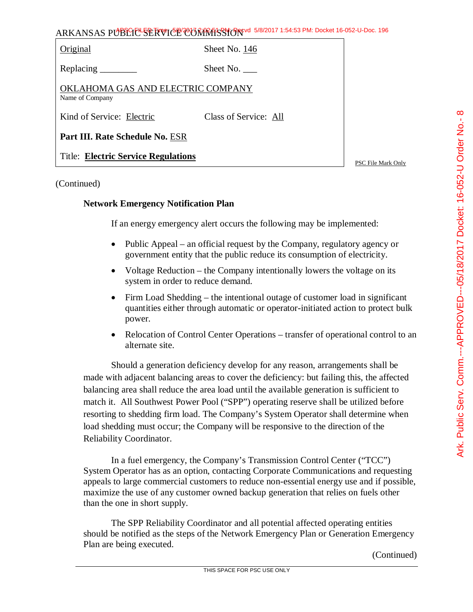| Original                                             | Sheet No. 146         |                    |
|------------------------------------------------------|-----------------------|--------------------|
| Replacing $\frac{\ }{\ }$                            | Sheet No. $\_\_$      |                    |
| OKLAHOMA GAS AND ELECTRIC COMPANY<br>Name of Company |                       |                    |
| Kind of Service: Electric                            | Class of Service: All |                    |
| Part III. Rate Schedule No. ESR                      |                       |                    |
| <b>Title: Electric Service Regulations</b>           |                       | PSC File Mark Only |

#### (Continued)

#### **Network Emergency Notification Plan**

If an energy emergency alert occurs the following may be implemented:

- Public Appeal an official request by the Company, regulatory agency or government entity that the public reduce its consumption of electricity.
- Voltage Reduction the Company intentionally lowers the voltage on its system in order to reduce demand.
- Firm Load Shedding the intentional outage of customer load in significant quantities either through automatic or operator-initiated action to protect bulk power.
- Relocation of Control Center Operations transfer of operational control to an alternate site.

Should a generation deficiency develop for any reason, arrangements shall be made with adjacent balancing areas to cover the deficiency: but failing this, the affected balancing area shall reduce the area load until the available generation is sufficient to match it. All Southwest Power Pool ("SPP") operating reserve shall be utilized before resorting to shedding firm load. The Company's System Operator shall determine when load shedding must occur; the Company will be responsive to the direction of the Reliability Coordinator.

In a fuel emergency, the Company's Transmission Control Center ("TCC") System Operator has as an option, contacting Corporate Communications and requesting appeals to large commercial customers to reduce non-essential energy use and if possible, maximize the use of any customer owned backup generation that relies on fuels other than the one in short supply.

The SPP Reliability Coordinator and all potential affected operating entities should be notified as the steps of the Network Emergency Plan or Generation Emergency Plan are being executed.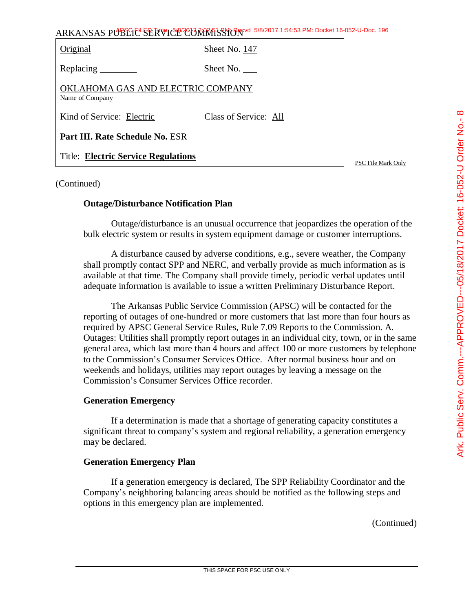| Original                                             | Sheet No. 147         |
|------------------------------------------------------|-----------------------|
| Replacing                                            | Sheet No.             |
| OKLAHOMA GAS AND ELECTRIC COMPANY<br>Name of Company |                       |
| Kind of Service: Electric                            | Class of Service: All |
| Part III. Rate Schedule No. ESR                      |                       |
| <b>Title: Electric Service Regulations</b>           |                       |

PSC File Mark Only

#### (Continued)

#### **Outage/Disturbance Notification Plan**

Outage/disturbance is an unusual occurrence that jeopardizes the operation of the bulk electric system or results in system equipment damage or customer interruptions.

A disturbance caused by adverse conditions, e.g., severe weather, the Company shall promptly contact SPP and NERC, and verbally provide as much information as is available at that time. The Company shall provide timely, periodic verbal updates until adequate information is available to issue a written Preliminary Disturbance Report.

The Arkansas Public Service Commission (APSC) will be contacted for the reporting of outages of one-hundred or more customers that last more than four hours as required by APSC General Service Rules, Rule 7.09 Reports to the Commission. A. Outages: Utilities shall promptly report outages in an individual city, town, or in the same general area, which last more than 4 hours and affect 100 or more customers by telephone to the Commission's Consumer Services Office. After normal business hour and on weekends and holidays, utilities may report outages by leaving a message on the Commission's Consumer Services Office recorder.

#### **Generation Emergency**

If a determination is made that a shortage of generating capacity constitutes a significant threat to company's system and regional reliability, a generation emergency may be declared.

#### **Generation Emergency Plan**

If a generation emergency is declared, The SPP Reliability Coordinator and the Company's neighboring balancing areas should be notified as the following steps and options in this emergency plan are implemented.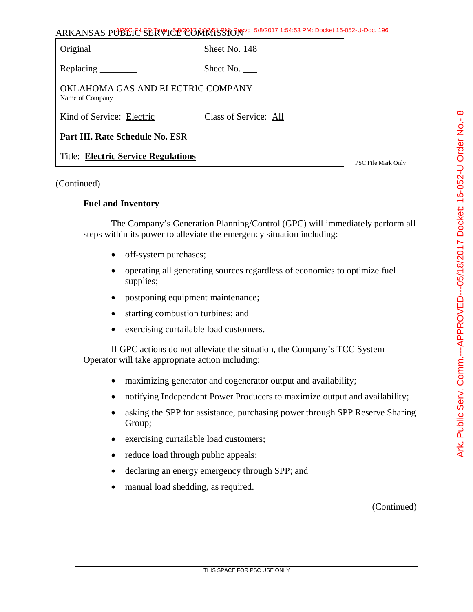| Original                                             | Sheet No. 148         |  |
|------------------------------------------------------|-----------------------|--|
| Replacing $\frac{\ }{\ }$                            | Sheet No.             |  |
| OKLAHOMA GAS AND ELECTRIC COMPANY<br>Name of Company |                       |  |
| Kind of Service: Electric                            | Class of Service: All |  |
| Part III. Rate Schedule No. ESR                      |                       |  |
| <b>Title: Electric Service Regulations</b>           |                       |  |

#### (Continued)

#### **Fuel and Inventory**

The Company's Generation Planning/Control (GPC) will immediately perform all steps within its power to alleviate the emergency situation including:

- off-system purchases;
- operating all generating sources regardless of economics to optimize fuel supplies;
- postponing equipment maintenance;
- starting combustion turbines; and
- exercising curtailable load customers.

If GPC actions do not alleviate the situation, the Company's TCC System Operator will take appropriate action including:

- maximizing generator and cogenerator output and availability;
- notifying Independent Power Producers to maximize output and availability;
- asking the SPP for assistance, purchasing power through SPP Reserve Sharing Group;
- exercising curtailable load customers;
- reduce load through public appeals;
- declaring an energy emergency through SPP; and
- manual load shedding, as required.

(Continued)

∞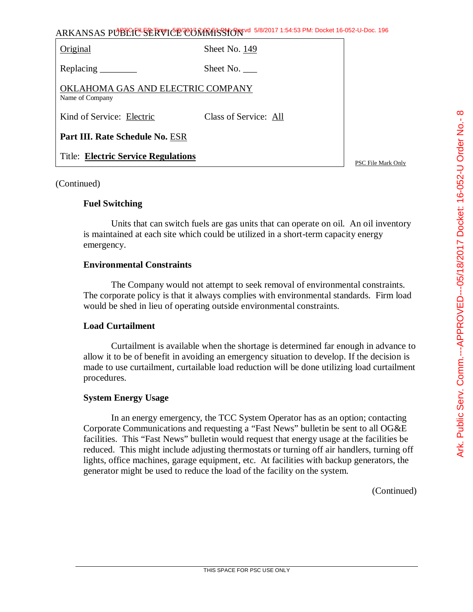| Original                                             | Sheet No. 149         |  |
|------------------------------------------------------|-----------------------|--|
|                                                      | Sheet No.             |  |
| OKLAHOMA GAS AND ELECTRIC COMPANY<br>Name of Company |                       |  |
| Kind of Service: Electric                            | Class of Service: All |  |
| Part III. Rate Schedule No. ESR                      |                       |  |
| <b>Title: Electric Service Regulations</b>           |                       |  |

PSC File Mark Only

#### (Continued)

#### **Fuel Switching**

Units that can switch fuels are gas units that can operate on oil. An oil inventory is maintained at each site which could be utilized in a short-term capacity energy emergency.

## **Environmental Constraints**

The Company would not attempt to seek removal of environmental constraints. The corporate policy is that it always complies with environmental standards. Firm load would be shed in lieu of operating outside environmental constraints.

## **Load Curtailment**

Curtailment is available when the shortage is determined far enough in advance to allow it to be of benefit in avoiding an emergency situation to develop. If the decision is made to use curtailment, curtailable load reduction will be done utilizing load curtailment procedures.

## **System Energy Usage**

In an energy emergency, the TCC System Operator has as an option; contacting Corporate Communications and requesting a "Fast News" bulletin be sent to all OG&E facilities. This "Fast News" bulletin would request that energy usage at the facilities be reduced. This might include adjusting thermostats or turning off air handlers, turning off lights, office machines, garage equipment, etc. At facilities with backup generators, the generator might be used to reduce the load of the facility on the system.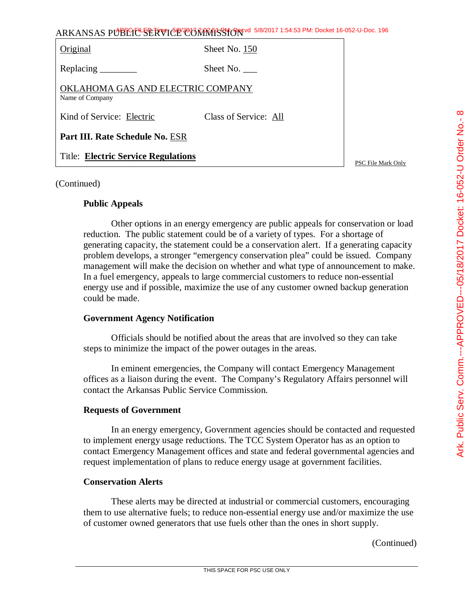| $S = S$<br> <br> <br>              |  |
|------------------------------------|--|
|                                    |  |
|                                    |  |
| $\frac{1}{2}$                      |  |
| <b>CARSCRIPT CONTROL CONTROLLS</b> |  |
|                                    |  |
|                                    |  |
|                                    |  |
|                                    |  |

| Original                                             | Sheet No. 150         |  |
|------------------------------------------------------|-----------------------|--|
|                                                      | Sheet No.             |  |
| OKLAHOMA GAS AND ELECTRIC COMPANY<br>Name of Company |                       |  |
| Kind of Service: Electric                            | Class of Service: All |  |
| Part III. Rate Schedule No. ESR                      |                       |  |
| <b>Title: Electric Service Regulations</b>           |                       |  |

PSC File Mark Only

#### (Continued)

#### **Public Appeals**

Other options in an energy emergency are public appeals for conservation or load reduction. The public statement could be of a variety of types. For a shortage of generating capacity, the statement could be a conservation alert. If a generating capacity problem develops, a stronger "emergency conservation plea" could be issued. Company management will make the decision on whether and what type of announcement to make. In a fuel emergency, appeals to large commercial customers to reduce non-essential energy use and if possible, maximize the use of any customer owned backup generation could be made.

#### **Government Agency Notification**

Officials should be notified about the areas that are involved so they can take steps to minimize the impact of the power outages in the areas.

In eminent emergencies, the Company will contact Emergency Management offices as a liaison during the event. The Company's Regulatory Affairs personnel will contact the Arkansas Public Service Commission.

#### **Requests of Government**

In an energy emergency, Government agencies should be contacted and requested to implement energy usage reductions. The TCC System Operator has as an option to contact Emergency Management offices and state and federal governmental agencies and request implementation of plans to reduce energy usage at government facilities.

# **Conservation Alerts**

These alerts may be directed at industrial or commercial customers, encouraging them to use alternative fuels; to reduce non-essential energy use and/or maximize the use of customer owned generators that use fuels other than the ones in short supply.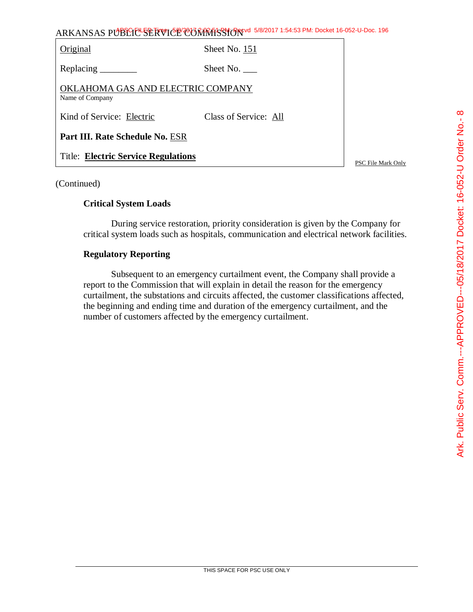| ARKANSAS PUBLIC SERVICE COMMISSION 5/8/2017 1:54:53 PM: Docket 16-052-U-Doc. 196 |                       |                    |
|----------------------------------------------------------------------------------|-----------------------|--------------------|
| Original                                                                         | Sheet No. 151         |                    |
|                                                                                  | Sheet No. $\_\_$      |                    |
| OKLAHOMA GAS AND ELECTRIC COMPANY<br>Name of Company                             |                       |                    |
| Kind of Service: Electric                                                        | Class of Service: All |                    |
| Part III. Rate Schedule No. ESR                                                  |                       |                    |
| <b>Title: Electric Service Regulations</b>                                       |                       | PSC File Mark Only |

# (Continued)

# **Critical System Loads**

During service restoration, priority consideration is given by the Company for critical system loads such as hospitals, communication and electrical network facilities.

# **Regulatory Reporting**

Subsequent to an emergency curtailment event, the Company shall provide a report to the Commission that will explain in detail the reason for the emergency curtailment, the substations and circuits affected, the customer classifications affected, the beginning and ending time and duration of the emergency curtailment, and the number of customers affected by the emergency curtailment.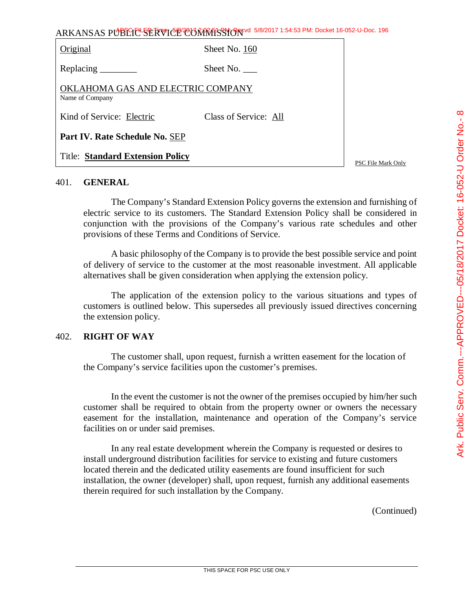|  | Ark. Public Serv. Comm.---APPROVED---05/18/2017 Docket: 16-052-U Order No.- 8 |
|--|-------------------------------------------------------------------------------|
|  |                                                                               |
|  |                                                                               |

ARKANSAS PUBLIC SERVICE COMMISSION 5/8/2017 1:54:53 PM: Docket 16-052-U-Doc. 196

| Original                                             | Sheet No. 160         |  |
|------------------------------------------------------|-----------------------|--|
| Replacing                                            | Sheet No.             |  |
| OKLAHOMA GAS AND ELECTRIC COMPANY<br>Name of Company |                       |  |
| Kind of Service: Electric                            | Class of Service: All |  |
| Part IV. Rate Schedule No. SEP                       |                       |  |
| <b>Title: Standard Extension Policy</b>              |                       |  |

#### 401. **GENERAL**

The Company's Standard Extension Policy governs the extension and furnishing of electric service to its customers. The Standard Extension Policy shall be considered in conjunction with the provisions of the Company's various rate schedules and other provisions of these Terms and Conditions of Service.

A basic philosophy of the Company is to provide the best possible service and point of delivery of service to the customer at the most reasonable investment. All applicable alternatives shall be given consideration when applying the extension policy.

The application of the extension policy to the various situations and types of customers is outlined below. This supersedes all previously issued directives concerning the extension policy.

# 402. **RIGHT OF WAY**

The customer shall, upon request, furnish a written easement for the location of the Company's service facilities upon the customer's premises.

In the event the customer is not the owner of the premises occupied by him/her such customer shall be required to obtain from the property owner or owners the necessary easement for the installation, maintenance and operation of the Company's service facilities on or under said premises.

In any real estate development wherein the Company is requested or desires to install underground distribution facilities for service to existing and future customers located therein and the dedicated utility easements are found insufficient for such installation, the owner (developer) shall, upon request, furnish any additional easements therein required for such installation by the Company.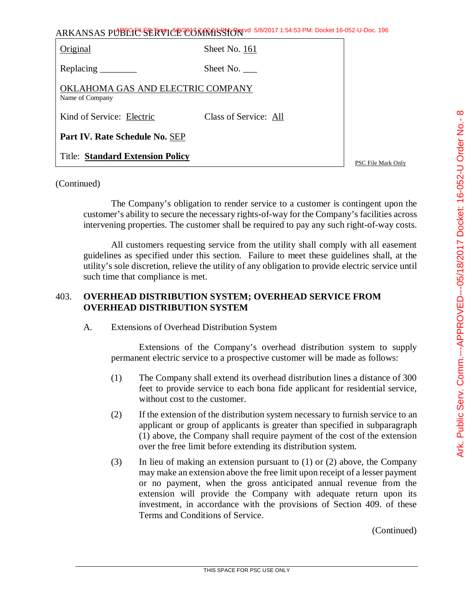| こうしょう うちょう スイー・                                                                  |
|----------------------------------------------------------------------------------|
| י<br>נול<br>-<br>-<br>^<br>$\frac{1}{2}$ defined by $\frac{1}{2}$<br>.<br>כ<br>ג |
| $\frac{1}{2}$                                                                    |
|                                                                                  |

ARKANSAS PUBLIC SERVICE COMMISSION 5/8/2017 1:54:53 PM: Docket 16-052-U-Doc. 196

| Original                                             | Sheet No. 161         |  |
|------------------------------------------------------|-----------------------|--|
| Replacing $\_\_\_\_\_\_\_\_\_\_\_\_\_\$              | Sheet No.             |  |
| OKLAHOMA GAS AND ELECTRIC COMPANY<br>Name of Company |                       |  |
| Kind of Service: Electric                            | Class of Service: All |  |
| Part IV. Rate Schedule No. SEP                       |                       |  |
| <b>Title: Standard Extension Policy</b>              |                       |  |

PSC File Mark Only

#### (Continued)

The Company's obligation to render service to a customer is contingent upon the customer's ability to secure the necessary rights-of-way for the Company's facilities across intervening properties. The customer shall be required to pay any such right-of-way costs.

All customers requesting service from the utility shall comply with all easement guidelines as specified under this section. Failure to meet these guidelines shall, at the utility's sole discretion, relieve the utility of any obligation to provide electric service until such time that compliance is met.

# 403. **OVERHEAD DISTRIBUTION SYSTEM; OVERHEAD SERVICE FROM OVERHEAD DISTRIBUTION SYSTEM**

A. Extensions of Overhead Distribution System

Extensions of the Company's overhead distribution system to supply permanent electric service to a prospective customer will be made as follows:

- (1) The Company shall extend its overhead distribution lines a distance of 300 feet to provide service to each bona fide applicant for residential service, without cost to the customer.
- (2) If the extension of the distribution system necessary to furnish service to an applicant or group of applicants is greater than specified in subparagraph (1) above, the Company shall require payment of the cost of the extension over the free limit before extending its distribution system.
- (3) In lieu of making an extension pursuant to (1) or (2) above, the Company may make an extension above the free limit upon receipt of a lesser payment or no payment, when the gross anticipated annual revenue from the extension will provide the Company with adequate return upon its investment, in accordance with the provisions of Section 409. of these Terms and Conditions of Service.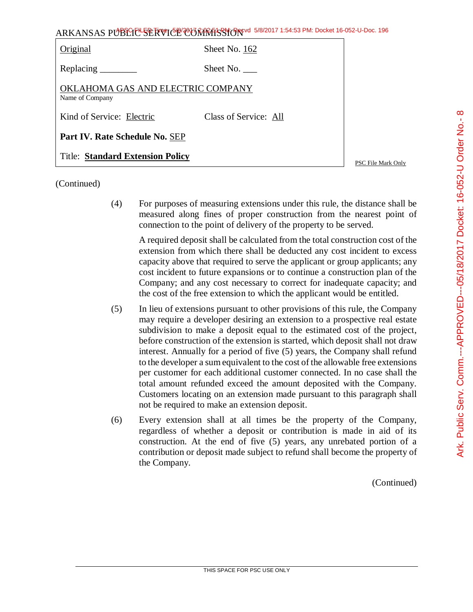| $\frac{1}{1}$<br>$\overline{a}$<br> <br> <br> <br> <br>$\frac{1}{2}$<br> <br> <br> <br> <br>P |  |
|-----------------------------------------------------------------------------------------------|--|
|                                                                                               |  |
| j<br>٦                                                                                        |  |

| ARKANSAS PUBLIC SERVICE COMMISSION 3/8/2017 1:54:53 PM: Docket 16-052-U-Doc. 196 |                       |  |
|----------------------------------------------------------------------------------|-----------------------|--|
| Original                                                                         | Sheet No. 162         |  |
| Replacing ________                                                               | Sheet No.             |  |
| OKLAHOMA GAS AND ELECTRIC COMPANY<br>Name of Company                             |                       |  |
| Kind of Service: Electric                                                        | Class of Service: All |  |
| Part IV. Rate Schedule No. SEP                                                   |                       |  |
| <b>Title: Standard Extension Policy</b>                                          |                       |  |

PSC File Mark Only

(Continued)

(4) For purposes of measuring extensions under this rule, the distance shall be measured along fines of proper construction from the nearest point of connection to the point of delivery of the property to be served.

A required deposit shall be calculated from the total construction cost of the extension from which there shall be deducted any cost incident to excess capacity above that required to serve the applicant or group applicants; any cost incident to future expansions or to continue a construction plan of the Company; and any cost necessary to correct for inadequate capacity; and the cost of the free extension to which the applicant would be entitled.

- (5) In lieu of extensions pursuant to other provisions of this rule, the Company may require a developer desiring an extension to a prospective real estate subdivision to make a deposit equal to the estimated cost of the project, before construction of the extension is started, which deposit shall not draw interest. Annually for a period of five (5) years, the Company shall refund to the developer a sum equivalent to the cost of the allowable free extensions per customer for each additional customer connected. In no case shall the total amount refunded exceed the amount deposited with the Company. Customers locating on an extension made pursuant to this paragraph shall not be required to make an extension deposit.
- (6) Every extension shall at all times be the property of the Company, regardless of whether a deposit or contribution is made in aid of its construction. At the end of five (5) years, any unrebated portion of a contribution or deposit made subject to refund shall become the property of the Company.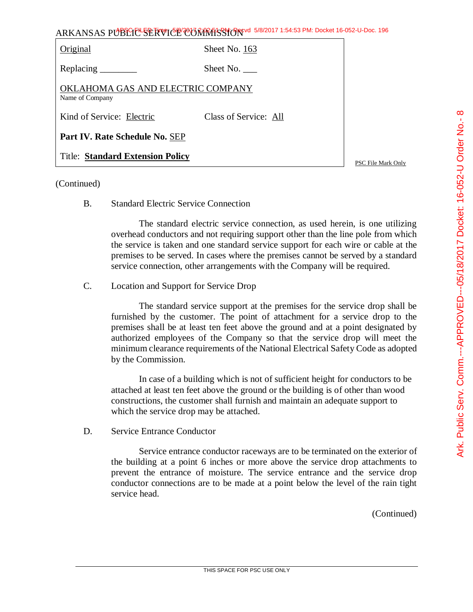| כ<br>י                                      |
|---------------------------------------------|
|                                             |
| ֦֦֦֦֦֦֦֦֦֦֦֦֦֦֦֦֚֝֝֝֝֝֝֝֝֝֝֝<br>֧֝֜֜֜֜֝׆    |
| -- C<br>C<br>C<br>-225-1                    |
| ؘ<br>₿<br>S                                 |
| ֖֦֧֦֦֦֧֦֢֦֧֦֢֦֦֦֦֦֦֦֦֚֚֚֚֬֝֬֜֜֜֜֝֝֝֝<br>֧֢֪ |
| /היובבת דומרים<br>:<br>גע                   |
|                                             |
| CODOCO C                                    |
| י באליים.<br>י                              |
|                                             |
|                                             |
|                                             |
|                                             |
|                                             |
|                                             |

| ARKANSAS PUBLIC SERVICE CONRESSION 5/8/2017 1:54:53 PM: Docket 16-052-U-Doc. 196 |                       |  |
|----------------------------------------------------------------------------------|-----------------------|--|
| Original                                                                         | Sheet No. 163         |  |
|                                                                                  | Sheet No.             |  |
| OKLAHOMA GAS AND ELECTRIC COMPANY<br>Name of Company                             |                       |  |
| Kind of Service: Electric                                                        | Class of Service: All |  |
| Part IV. Rate Schedule No. SEP                                                   |                       |  |
| <b>Title: Standard Extension Policy</b>                                          |                       |  |

# (Continued)

B. Standard Electric Service Connection

The standard electric service connection, as used herein, is one utilizing overhead conductors and not requiring support other than the line pole from which the service is taken and one standard service support for each wire or cable at the premises to be served. In cases where the premises cannot be served by a standard service connection, other arrangements with the Company will be required.

C. Location and Support for Service Drop

The standard service support at the premises for the service drop shall be furnished by the customer. The point of attachment for a service drop to the premises shall be at least ten feet above the ground and at a point designated by authorized employees of the Company so that the service drop will meet the minimum clearance requirements of the National Electrical Safety Code as adopted by the Commission.

In case of a building which is not of sufficient height for conductors to be attached at least ten feet above the ground or the building is of other than wood constructions, the customer shall furnish and maintain an adequate support to which the service drop may be attached.

D. Service Entrance Conductor

Service entrance conductor raceways are to be terminated on the exterior of the building at a point 6 inches or more above the service drop attachments to prevent the entrance of moisture. The service entrance and the service drop conductor connections are to be made at a point below the level of the rain tight service head.

(Continued)

PSC File Mark Only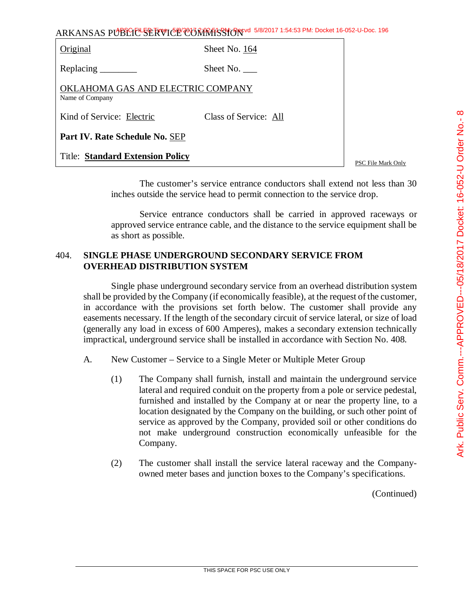| ARKANSAS PUBLICE SERVICE CORRATSSION 5/8/2017 1:54:53 PM: Docket 16-052-U-Doc. 196 |  |
|------------------------------------------------------------------------------------|--|
|------------------------------------------------------------------------------------|--|

| Original                                             | Sheet No. 164         |                    |
|------------------------------------------------------|-----------------------|--------------------|
|                                                      | Sheet No. $\_\_$      |                    |
| OKLAHOMA GAS AND ELECTRIC COMPANY<br>Name of Company |                       |                    |
| Kind of Service: Electric                            | Class of Service: All |                    |
| Part IV. Rate Schedule No. SEP                       |                       |                    |
| <b>Title: Standard Extension Policy</b>              |                       | PSC File Mark Only |

The customer's service entrance conductors shall extend not less than 30 inches outside the service head to permit connection to the service drop.

Service entrance conductors shall be carried in approved raceways or approved service entrance cable, and the distance to the service equipment shall be as short as possible.

# 404. **SINGLE PHASE UNDERGROUND SECONDARY SERVICE FROM OVERHEAD DISTRIBUTION SYSTEM**

Single phase underground secondary service from an overhead distribution system shall be provided by the Company (if economically feasible), at the request of the customer, in accordance with the provisions set forth below. The customer shall provide any easements necessary. If the length of the secondary circuit of service lateral, or size of load (generally any load in excess of 600 Amperes), makes a secondary extension technically impractical, underground service shall be installed in accordance with Section No. 408.

- A. New Customer Service to a Single Meter or Multiple Meter Group
	- (1) The Company shall furnish, install and maintain the underground service lateral and required conduit on the property from a pole or service pedestal, furnished and installed by the Company at or near the property line, to a location designated by the Company on the building, or such other point of service as approved by the Company, provided soil or other conditions do not make underground construction economically unfeasible for the Company.
	- (2) The customer shall install the service lateral raceway and the Companyowned meter bases and junction boxes to the Company's specifications.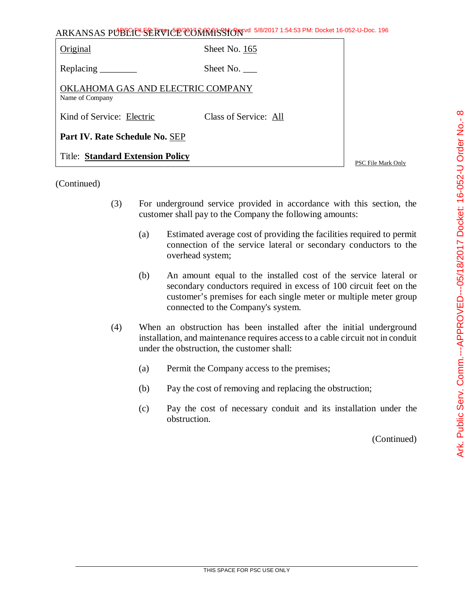| 0<br>-- 2<br>-<br>ے<br>ام                           |
|-----------------------------------------------------|
| omm.---APPROVED---05/18/2017 Docket: 16-052-U Order |
|                                                     |
| ن<br>SV. C                                          |
| ن<br>ي<br>∷ا⊾: C                                    |

| ARKANSAS PUBLICE SERVICE CONTRASSION 5/8/2017 1:54:53 PM: Docket 16-052-U-Doc. 196 |  |
|------------------------------------------------------------------------------------|--|
|------------------------------------------------------------------------------------|--|

| Original                                             | Sheet No. 165         |
|------------------------------------------------------|-----------------------|
| Replacing $\_\_\_\_\_\_\_\_\_\_\_\_\_\$              | Sheet No.             |
| OKLAHOMA GAS AND ELECTRIC COMPANY<br>Name of Company |                       |
| Kind of Service: Electric                            | Class of Service: All |
| Part IV. Rate Schedule No. SEP                       |                       |
| <b>Title: Standard Extension Policy</b>              |                       |

PSC File Mark Only

(Continued)

- (3) For underground service provided in accordance with this section, the customer shall pay to the Company the following amounts:
	- (a) Estimated average cost of providing the facilities required to permit connection of the service lateral or secondary conductors to the overhead system;
	- (b) An amount equal to the installed cost of the service lateral or secondary conductors required in excess of 100 circuit feet on the customer's premises for each single meter or multiple meter group connected to the Company's system.
- (4) When an obstruction has been installed after the initial underground installation, and maintenance requires access to a cable circuit not in conduit under the obstruction, the customer shall:
	- (a) Permit the Company access to the premises;
	- (b) Pay the cost of removing and replacing the obstruction;
	- (c) Pay the cost of necessary conduit and its installation under the obstruction.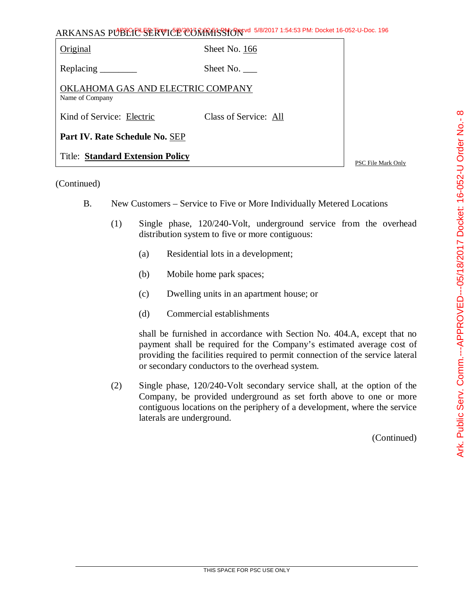| $\mathbf{1}$  | Ark. Public Serv. Comm.---APPROVED--05/18/2017 Docket: 16-052-U Order No.-1 |
|---------------|-----------------------------------------------------------------------------|
| )<br>f<br>l   |                                                                             |
| $\frac{1}{2}$ |                                                                             |
|               |                                                                             |

| Original                                             | Sheet No. 166         |
|------------------------------------------------------|-----------------------|
| Replacing _                                          | Sheet No. $\_\_$      |
| OKLAHOMA GAS AND ELECTRIC COMPANY<br>Name of Company |                       |
| Kind of Service: Electric                            | Class of Service: All |
| Part IV. Rate Schedule No. SEP                       |                       |
| <b>Title: Standard Extension Policy</b>              |                       |

#### (Continued)

- B. New Customers Service to Five or More Individually Metered Locations
	- (1) Single phase, 120/240-Volt, underground service from the overhead distribution system to five or more contiguous:
		- (a) Residential lots in a development;
		- (b) Mobile home park spaces;
		- (c) Dwelling units in an apartment house; or
		- (d) Commercial establishments

shall be furnished in accordance with Section No. 404.A, except that no payment shall be required for the Company's estimated average cost of providing the facilities required to permit connection of the service lateral or secondary conductors to the overhead system.

(2) Single phase, 120/240-Volt secondary service shall, at the option of the Company, be provided underground as set forth above to one or more contiguous locations on the periphery of a development, where the service laterals are underground.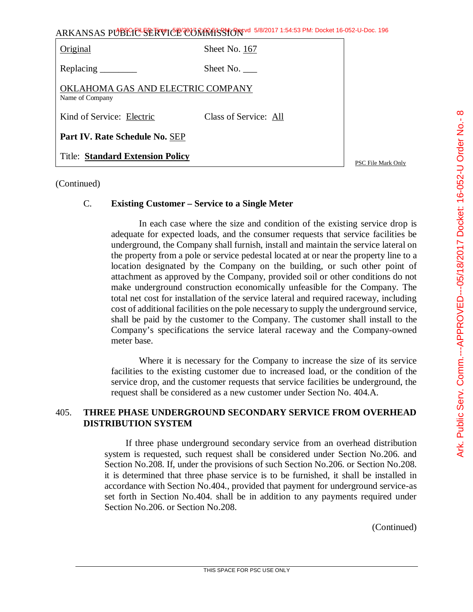| ARKANSAS PUBLIC SERVICE CONRITS TO 5/8/2017 1:54:53 PM: Docket 16-052-U-Doc. 196 |                       |                    |
|----------------------------------------------------------------------------------|-----------------------|--------------------|
| Original                                                                         | Sheet No. 167         |                    |
|                                                                                  | Sheet No.             |                    |
| OKLAHOMA GAS AND ELECTRIC COMPANY<br>Name of Company                             |                       |                    |
| Kind of Service: Electric                                                        | Class of Service: All |                    |
| Part IV. Rate Schedule No. SEP                                                   |                       |                    |
| <b>Title: Standard Extension Policy</b>                                          |                       | PSC File Mark Only |

(Continued)

#### C. **Existing Customer – Service to a Single Meter**

In each case where the size and condition of the existing service drop is adequate for expected loads, and the consumer requests that service facilities be underground, the Company shall furnish, install and maintain the service lateral on the property from a pole or service pedestal located at or near the property line to a location designated by the Company on the building, or such other point of attachment as approved by the Company, provided soil or other conditions do not make underground construction economically unfeasible for the Company. The total net cost for installation of the service lateral and required raceway, including cost of additional facilities on the pole necessary to supply the underground service, shall be paid by the customer to the Company. The customer shall install to the Company's specifications the service lateral raceway and the Company-owned meter base.

Where it is necessary for the Company to increase the size of its service facilities to the existing customer due to increased load, or the condition of the service drop, and the customer requests that service facilities be underground, the request shall be considered as a new customer under Section No. 404.A.

# 405. **THREE PHASE UNDERGROUND SECONDARY SERVICE FROM OVERHEAD DISTRIBUTION SYSTEM**

If three phase underground secondary service from an overhead distribution system is requested, such request shall be considered under Section No.206. and Section No.208. If, under the provisions of such Section No.206. or Section No.208. it is determined that three phase service is to be furnished, it shall be installed in accordance with Section No.404., provided that payment for underground service-as set forth in Section No.404. shall be in addition to any payments required under Section No.206. or Section No.208.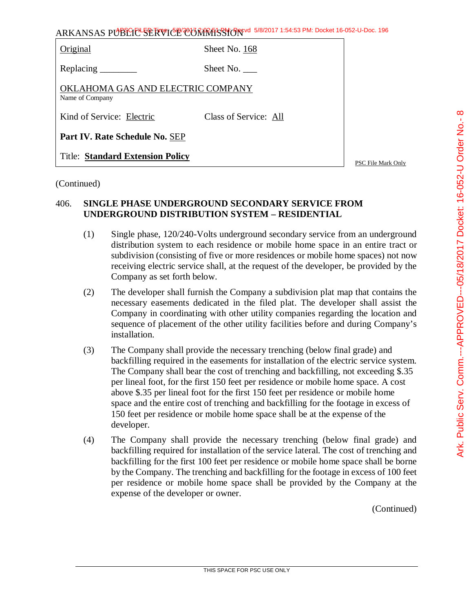| Original                                             | Sheet No. 168         |
|------------------------------------------------------|-----------------------|
| Replacing $\_\_\_\_\_\_\_\_\_\_\_\_\$                | Sheet No. $\_\_$      |
| OKLAHOMA GAS AND ELECTRIC COMPANY<br>Name of Company |                       |
| Kind of Service: Electric                            | Class of Service: All |
| Part IV. Rate Schedule No. SEP                       |                       |
| <b>Title: Standard Extension Policy</b>              |                       |

#### (Continued)

# 406. **SINGLE PHASE UNDERGROUND SECONDARY SERVICE FROM UNDERGROUND DISTRIBUTION SYSTEM – RESIDENTIAL**

- (1) Single phase, 120/240-Volts underground secondary service from an underground distribution system to each residence or mobile home space in an entire tract or subdivision (consisting of five or more residences or mobile home spaces) not now receiving electric service shall, at the request of the developer, be provided by the Company as set forth below.
- (2) The developer shall furnish the Company a subdivision plat map that contains the necessary easements dedicated in the filed plat. The developer shall assist the Company in coordinating with other utility companies regarding the location and sequence of placement of the other utility facilities before and during Company's installation.
- (3) The Company shall provide the necessary trenching (below final grade) and backfilling required in the easements for installation of the electric service system. The Company shall bear the cost of trenching and backfilling, not exceeding \$.35 per lineal foot, for the first 150 feet per residence or mobile home space. A cost above \$.35 per lineal foot for the first 150 feet per residence or mobile home space and the entire cost of trenching and backfilling for the footage in excess of 150 feet per residence or mobile home space shall be at the expense of the developer.
- (4) The Company shall provide the necessary trenching (below final grade) and backfilling required for installation of the service lateral. The cost of trenching and backfilling for the first 100 feet per residence or mobile home space shall be borne by the Company. The trenching and backfilling for the footage in excess of 100 feet per residence or mobile home space shall be provided by the Company at the expense of the developer or owner.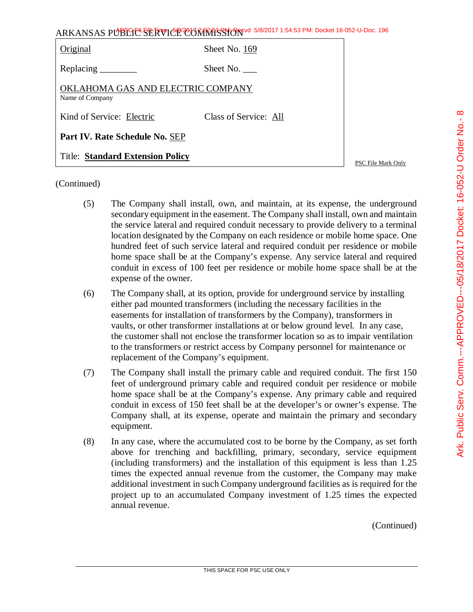| ARKANSAS PUBLIC <sup>L</sup> SERVICE CONRESSION 5/8/2017 1:54:53 PM: Docket 16-052-U-Doc. 196 |                       |                    |
|-----------------------------------------------------------------------------------------------|-----------------------|--------------------|
| Original                                                                                      | Sheet No. 169         |                    |
|                                                                                               | Sheet No. $\_\_$      |                    |
| OKLAHOMA GAS AND ELECTRIC COMPANY<br>Name of Company                                          |                       |                    |
| Kind of Service: Electric                                                                     | Class of Service: All |                    |
| Part IV. Rate Schedule No. SEP                                                                |                       |                    |
| <b>Title: Standard Extension Policy</b>                                                       |                       | PSC File Mark Only |

(Continued)

- (5) The Company shall install, own, and maintain, at its expense, the underground secondary equipment in the easement. The Company shall install, own and maintain the service lateral and required conduit necessary to provide delivery to a terminal location designated by the Company on each residence or mobile home space. One hundred feet of such service lateral and required conduit per residence or mobile home space shall be at the Company's expense. Any service lateral and required conduit in excess of 100 feet per residence or mobile home space shall be at the expense of the owner.
- (6) The Company shall, at its option, provide for underground service by installing either pad mounted transformers (including the necessary facilities in the easements for installation of transformers by the Company), transformers in vaults, or other transformer installations at or below ground level. In any case, the customer shall not enclose the transformer location so as to impair ventilation to the transformers or restrict access by Company personnel for maintenance or replacement of the Company's equipment.
- (7) The Company shall install the primary cable and required conduit. The first 150 feet of underground primary cable and required conduit per residence or mobile home space shall be at the Company's expense. Any primary cable and required conduit in excess of 150 feet shall be at the developer's or owner's expense. The Company shall, at its expense, operate and maintain the primary and secondary equipment.
- (8) In any case, where the accumulated cost to be borne by the Company, as set forth above for trenching and backfilling, primary, secondary, service equipment (including transformers) and the installation of this equipment is less than 1.25 times the expected annual revenue from the customer, the Company may make additional investment in such Company underground facilities as is required for the project up to an accumulated Company investment of 1.25 times the expected annual revenue.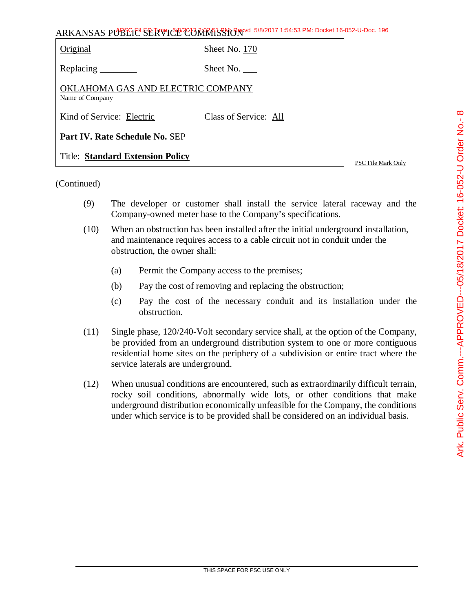| $\frac{1}{2}$                                        |
|------------------------------------------------------|
|                                                      |
|                                                      |
|                                                      |
|                                                      |
| יי אלי 11 C הביטי 11 ביי אי                          |
|                                                      |
| ע<br>גע                                              |
|                                                      |
|                                                      |
|                                                      |
|                                                      |
|                                                      |
|                                                      |
|                                                      |
|                                                      |
|                                                      |
|                                                      |
| טט וטובטים ו<br>こ しょうりょう しょう                         |
|                                                      |
|                                                      |
|                                                      |
|                                                      |
|                                                      |
|                                                      |
|                                                      |
|                                                      |
|                                                      |
| . PPOVED_______                                      |
|                                                      |
|                                                      |
| ים<br>-<br>-<br>-                                    |
|                                                      |
|                                                      |
|                                                      |
|                                                      |
|                                                      |
|                                                      |
|                                                      |
|                                                      |
|                                                      |
|                                                      |
|                                                      |
|                                                      |
|                                                      |
|                                                      |
|                                                      |
|                                                      |
|                                                      |
|                                                      |
|                                                      |
|                                                      |
| <b>in IIII III III III III</b> III<br>ファンプ<br>ن<br>ر |
|                                                      |
|                                                      |
|                                                      |
|                                                      |
|                                                      |
| C                                                    |

 $\infty$ 

# ARKANSAS PUBLIC SERVICE COMMISSION 5/8/2017 1:54:53 PM: Docket 16-052-U-Doc. 196

| Original                                             | Sheet No. 170         |                    |  |
|------------------------------------------------------|-----------------------|--------------------|--|
|                                                      | Sheet No. $\_\_$      |                    |  |
| OKLAHOMA GAS AND ELECTRIC COMPANY<br>Name of Company |                       |                    |  |
| Kind of Service: Electric                            | Class of Service: All |                    |  |
| Part IV. Rate Schedule No. SEP                       |                       |                    |  |
| <b>Title: Standard Extension Policy</b>              |                       | PSC File Mark Only |  |

- (9) The developer or customer shall install the service lateral raceway and the Company-owned meter base to the Company's specifications.
- (10) When an obstruction has been installed after the initial underground installation, and maintenance requires access to a cable circuit not in conduit under the obstruction, the owner shall:
	- (a) Permit the Company access to the premises;
	- (b) Pay the cost of removing and replacing the obstruction;
	- (c) Pay the cost of the necessary conduit and its installation under the obstruction.
- (11) Single phase, 120/240-Volt secondary service shall, at the option of the Company, be provided from an underground distribution system to one or more contiguous residential home sites on the periphery of a subdivision or entire tract where the service laterals are underground.
- (12) When unusual conditions are encountered, such as extraordinarily difficult terrain, rocky soil conditions, abnormally wide lots, or other conditions that make underground distribution economically unfeasible for the Company, the conditions under which service is to be provided shall be considered on an individual basis.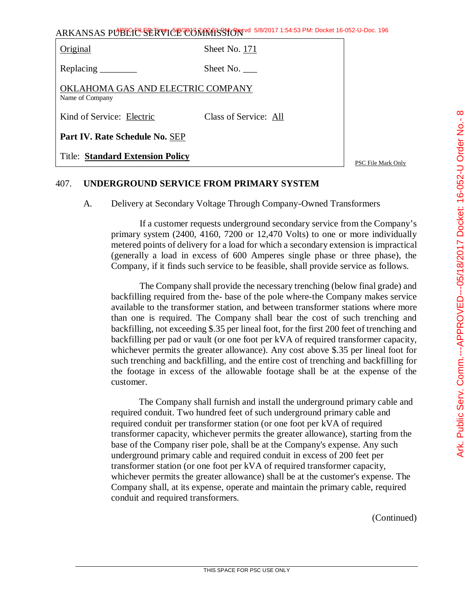| <b>Title: Standard Extension Policy</b>              |                       | РS |
|------------------------------------------------------|-----------------------|----|
| Part IV. Rate Schedule No. SEP                       |                       |    |
| Kind of Service: Electric                            | Class of Service: All |    |
| OKLAHOMA GAS AND ELECTRIC COMPANY<br>Name of Company |                       |    |
|                                                      | Sheet No. $\qquad$    |    |
| Original                                             | Sheet No. 171         |    |

PSC File Mark Only

# 407. **UNDERGROUND SERVICE FROM PRIMARY SYSTEM**

A. Delivery at Secondary Voltage Through Company-Owned Transformers

If a customer requests underground secondary service from the Company's primary system (2400, 4160, 7200 or 12,470 Volts) to one or more individually metered points of delivery for a load for which a secondary extension is impractical (generally a load in excess of 600 Amperes single phase or three phase), the Company, if it finds such service to be feasible, shall provide service as follows.

The Company shall provide the necessary trenching (below final grade) and backfilling required from the- base of the pole where-the Company makes service available to the transformer station, and between transformer stations where more than one is required. The Company shall bear the cost of such trenching and backfilling, not exceeding \$.35 per lineal foot, for the first 200 feet of trenching and backfilling per pad or vault (or one foot per kVA of required transformer capacity, whichever permits the greater allowance). Any cost above \$.35 per lineal foot for such trenching and backfilling, and the entire cost of trenching and backfilling for the footage in excess of the allowable footage shall be at the expense of the customer.

The Company shall furnish and install the underground primary cable and required conduit. Two hundred feet of such underground primary cable and required conduit per transformer station (or one foot per kVA of required transformer capacity, whichever permits the greater allowance), starting from the base of the Company riser pole, shall be at the Company's expense. Any such underground primary cable and required conduit in excess of 200 feet per transformer station (or one foot per kVA of required transformer capacity, whichever permits the greater allowance) shall be at the customer's expense. The Company shall, at its expense, operate and maintain the primary cable, required conduit and required transformers.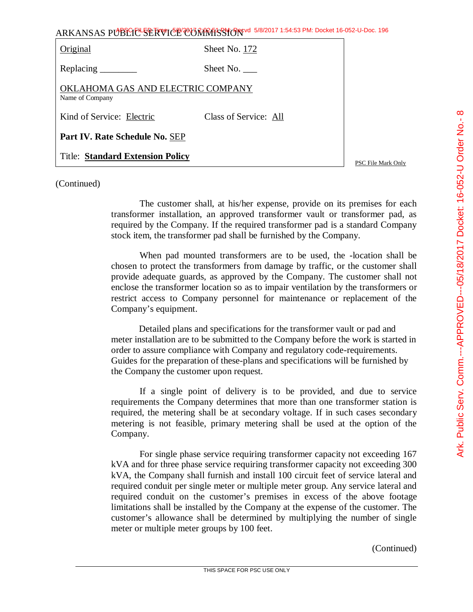|                                                      | ARKANSAS PUBLIC <sup>L</sup> SERVICE CONRESSION 5/8/2017 1:54:53 PM: Docket 16-052-U-Doc. 196 |                    |
|------------------------------------------------------|-----------------------------------------------------------------------------------------------|--------------------|
| Original                                             | Sheet No. 172                                                                                 |                    |
| Replacing $\_\_\_\_\_\_\_\_\_\_\_\_\$                | Sheet No. $\_\_$                                                                              |                    |
| OKLAHOMA GAS AND ELECTRIC COMPANY<br>Name of Company |                                                                                               |                    |
| Kind of Service: Electric                            | Class of Service: All                                                                         |                    |
| Part IV. Rate Schedule No. SEP                       |                                                                                               |                    |
| <b>Title: Standard Extension Policy</b>              |                                                                                               | PSC File Mark Only |

(Continued)

The customer shall, at his/her expense, provide on its premises for each transformer installation, an approved transformer vault or transformer pad, as required by the Company. If the required transformer pad is a standard Company stock item, the transformer pad shall be furnished by the Company.

When pad mounted transformers are to be used, the -location shall be chosen to protect the transformers from damage by traffic, or the customer shall provide adequate guards, as approved by the Company. The customer shall not enclose the transformer location so as to impair ventilation by the transformers or restrict access to Company personnel for maintenance or replacement of the Company's equipment.

Detailed plans and specifications for the transformer vault or pad and meter installation are to be submitted to the Company before the work is started in order to assure compliance with Company and regulatory code-requirements. Guides for the preparation of these-plans and specifications will be furnished by the Company the customer upon request.

If a single point of delivery is to be provided, and due to service requirements the Company determines that more than one transformer station is required, the metering shall be at secondary voltage. If in such cases secondary metering is not feasible, primary metering shall be used at the option of the Company.

For single phase service requiring transformer capacity not exceeding 167 kVA and for three phase service requiring transformer capacity not exceeding 300 kVA, the Company shall furnish and install 100 circuit feet of service lateral and required conduit per single meter or multiple meter group. Any service lateral and required conduit on the customer's premises in excess of the above footage limitations shall be installed by the Company at the expense of the customer. The customer's allowance shall be determined by multiplying the number of single meter or multiple meter groups by 100 feet.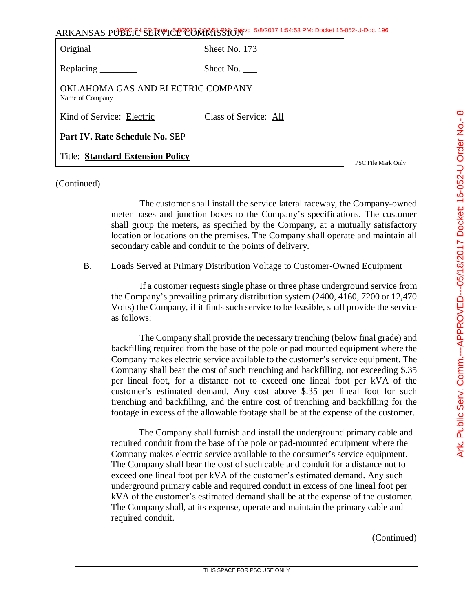| さん ニュッタアン<br>່<br>こうこ                                                |
|----------------------------------------------------------------------|
| l<br><b>INNES CRIPS CONNECT CONNECT</b><br> <br> <br> <br>. טש וטיבי |
| )<br>)<br>)                                                          |
|                                                                      |

| ARKANSAS PUBLICE SERVICE CONTRASSION 5/8/2017 1:54:53 PM: Docket 16-052-U-Doc. 196 |
|------------------------------------------------------------------------------------|
|------------------------------------------------------------------------------------|

| Original                                             | Sheet No. 173         |  |
|------------------------------------------------------|-----------------------|--|
| Replacing $\_\_\_\_\_\_\_\_\_\_\_\$                  | Sheet No.             |  |
| OKLAHOMA GAS AND ELECTRIC COMPANY<br>Name of Company |                       |  |
| Kind of Service: Electric                            | Class of Service: All |  |
| Part IV. Rate Schedule No. SEP                       |                       |  |
| <b>Title: Standard Extension Policy</b>              |                       |  |

PSC File Mark Only

## (Continued)

The customer shall install the service lateral raceway, the Company-owned meter bases and junction boxes to the Company's specifications. The customer shall group the meters, as specified by the Company, at a mutually satisfactory location or locations on the premises. The Company shall operate and maintain all secondary cable and conduit to the points of delivery.

B. Loads Served at Primary Distribution Voltage to Customer-Owned Equipment

If a customer requests single phase or three phase underground service from the Company's prevailing primary distribution system (2400, 4160, 7200 or 12,470 Volts) the Company, if it finds such service to be feasible, shall provide the service as follows:

The Company shall provide the necessary trenching (below final grade) and backfilling required from the base of the pole or pad mounted equipment where the Company makes electric service available to the customer's service equipment. The Company shall bear the cost of such trenching and backfilling, not exceeding \$.35 per lineal foot, for a distance not to exceed one lineal foot per kVA of the customer's estimated demand. Any cost above \$.35 per lineal foot for such trenching and backfilling, and the entire cost of trenching and backfilling for the footage in excess of the allowable footage shall be at the expense of the customer.

The Company shall furnish and install the underground primary cable and required conduit from the base of the pole or pad-mounted equipment where the Company makes electric service available to the consumer's service equipment. The Company shall bear the cost of such cable and conduit for a distance not to exceed one lineal foot per kVA of the customer's estimated demand. Any such underground primary cable and required conduit in excess of one lineal foot per kVA of the customer's estimated demand shall be at the expense of the customer. The Company shall, at its expense, operate and maintain the primary cable and required conduit.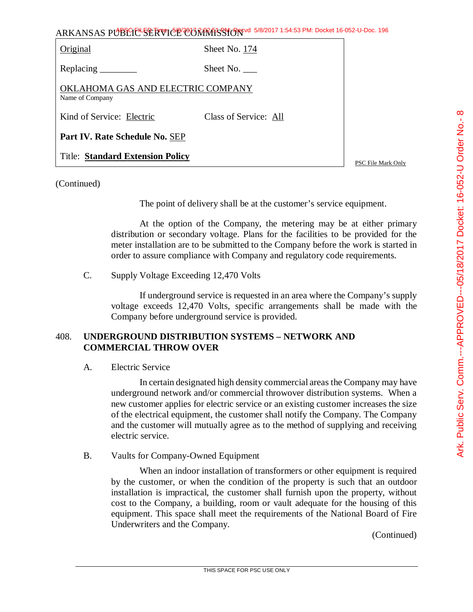| ARKANSAS PUBLIC SERVICE CONTRISSION 5/8/2017 1:54:53 PM: Docket 16-052-U-Doc. 196 |                       |  |  |
|-----------------------------------------------------------------------------------|-----------------------|--|--|
| Original                                                                          | Sheet No. 174         |  |  |
|                                                                                   | Sheet No.             |  |  |
| OKLAHOMA GAS AND ELECTRIC COMPANY<br>Name of Company                              |                       |  |  |
| Kind of Service: Electric                                                         | Class of Service: All |  |  |
| Part IV. Rate Schedule No. SEP                                                    |                       |  |  |
| <b>Title: Standard Extension Policy</b>                                           |                       |  |  |

(Continued)

The point of delivery shall be at the customer's service equipment.

At the option of the Company, the metering may be at either primary distribution or secondary voltage. Plans for the facilities to be provided for the meter installation are to be submitted to the Company before the work is started in order to assure compliance with Company and regulatory code requirements.

C. Supply Voltage Exceeding 12,470 Volts

If underground service is requested in an area where the Company's supply voltage exceeds 12,470 Volts, specific arrangements shall be made with the Company before underground service is provided.

# 408. **UNDERGROUND DISTRIBUTION SYSTEMS – NETWORK AND COMMERCIAL THROW OVER**

A. Electric Service

In certain designated high density commercial areas the Company may have underground network and/or commercial throwover distribution systems. When a new customer applies for electric service or an existing customer increases the size of the electrical equipment, the customer shall notify the Company. The Company and the customer will mutually agree as to the method of supplying and receiving electric service.

B. Vaults for Company-Owned Equipment

When an indoor installation of transformers or other equipment is required by the customer, or when the condition of the property is such that an outdoor installation is impractical, the customer shall furnish upon the property, without cost to the Company, a building, room or vault adequate for the housing of this equipment. This space shall meet the requirements of the National Board of Fire Underwriters and the Company.

(Continued)

PSC File Mark Only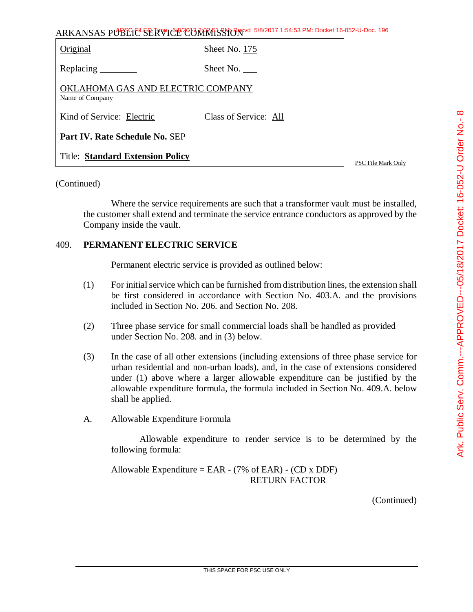| Original                                             | Sheet No. 175         |  |  |
|------------------------------------------------------|-----------------------|--|--|
| Replacing $\_\_\_\_\_\_\_\_\_\_\_\_\_\$              | Sheet No.             |  |  |
| OKLAHOMA GAS AND ELECTRIC COMPANY<br>Name of Company |                       |  |  |
| Kind of Service: Electric                            | Class of Service: All |  |  |
| Part IV. Rate Schedule No. SEP                       |                       |  |  |
| <b>Title: Standard Extension Policy</b>              |                       |  |  |

PSC File Mark Only

## (Continued)

Where the service requirements are such that a transformer vault must be installed, the customer shall extend and terminate the service entrance conductors as approved by the Company inside the vault.

#### 409. **PERMANENT ELECTRIC SERVICE**

Permanent electric service is provided as outlined below:

- (1) For initial service which can be furnished from distribution lines, the extension shall be first considered in accordance with Section No. 403.A. and the provisions included in Section No. 206. and Section No. 208.
- (2) Three phase service for small commercial loads shall be handled as provided under Section No. 208. and in (3) below.
- (3) In the case of all other extensions (including extensions of three phase service for urban residential and non-urban loads), and, in the case of extensions considered under (1) above where a larger allowable expenditure can be justified by the allowable expenditure formula, the formula included in Section No. 409.A. below shall be applied.
- A. Allowable Expenditure Formula

Allowable expenditure to render service is to be determined by the following formula:

Allowable Expenditure =  $\underline{EAR} - (7\% \text{ of } EAR) - (CD \text{ x } DDF)$ RETURN FACTOR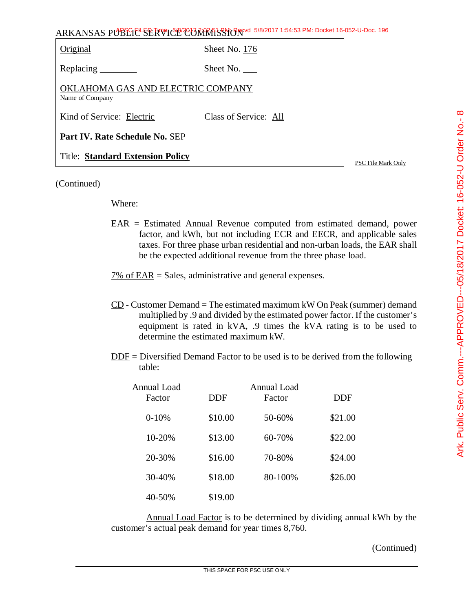| $\frac{c}{2}$<br>^<br>Indo<br>フ                                                                                                                                                                                                                                                      |
|--------------------------------------------------------------------------------------------------------------------------------------------------------------------------------------------------------------------------------------------------------------------------------------|
|                                                                                                                                                                                                                                                                                      |
|                                                                                                                                                                                                                                                                                      |
|                                                                                                                                                                                                                                                                                      |
|                                                                                                                                                                                                                                                                                      |
| $\sim$ 11 $\sim$ 11 $\sim$ 11 $\sim$ 11 $\sim$ 11 $\sim$ 11 $\sim$ 11 $\sim$ 11 $\sim$ 11 $\sim$ 11 $\sim$ 11 $\sim$ 11 $\sim$ 11 $\sim$ 11 $\sim$ 11 $\sim$ 11 $\sim$ 11 $\sim$ 11 $\sim$ 11 $\sim$ 11 $\sim$ 11 $\sim$ 11 $\sim$ 11 $\sim$ 11 $\sim$ 11 $\sim$ 11 $\sim$ 11 $\sim$ |
|                                                                                                                                                                                                                                                                                      |
| )<br> }<br>                                                                                                                                                                                                                                                                          |
|                                                                                                                                                                                                                                                                                      |
|                                                                                                                                                                                                                                                                                      |
|                                                                                                                                                                                                                                                                                      |
|                                                                                                                                                                                                                                                                                      |
|                                                                                                                                                                                                                                                                                      |
|                                                                                                                                                                                                                                                                                      |
|                                                                                                                                                                                                                                                                                      |
|                                                                                                                                                                                                                                                                                      |
|                                                                                                                                                                                                                                                                                      |
|                                                                                                                                                                                                                                                                                      |
|                                                                                                                                                                                                                                                                                      |
|                                                                                                                                                                                                                                                                                      |
|                                                                                                                                                                                                                                                                                      |
|                                                                                                                                                                                                                                                                                      |
|                                                                                                                                                                                                                                                                                      |
|                                                                                                                                                                                                                                                                                      |
|                                                                                                                                                                                                                                                                                      |
|                                                                                                                                                                                                                                                                                      |
|                                                                                                                                                                                                                                                                                      |
|                                                                                                                                                                                                                                                                                      |
| יי בסיי-טשו וטעבט וו בטכה.<br>- 41,000,000                                                                                                                                                                                                                                           |
|                                                                                                                                                                                                                                                                                      |
|                                                                                                                                                                                                                                                                                      |
|                                                                                                                                                                                                                                                                                      |
|                                                                                                                                                                                                                                                                                      |
| i<br>C<br>C<br>C                                                                                                                                                                                                                                                                     |
|                                                                                                                                                                                                                                                                                      |
|                                                                                                                                                                                                                                                                                      |
|                                                                                                                                                                                                                                                                                      |
|                                                                                                                                                                                                                                                                                      |
|                                                                                                                                                                                                                                                                                      |
|                                                                                                                                                                                                                                                                                      |
|                                                                                                                                                                                                                                                                                      |
|                                                                                                                                                                                                                                                                                      |
|                                                                                                                                                                                                                                                                                      |
|                                                                                                                                                                                                                                                                                      |
|                                                                                                                                                                                                                                                                                      |
|                                                                                                                                                                                                                                                                                      |
|                                                                                                                                                                                                                                                                                      |
|                                                                                                                                                                                                                                                                                      |
|                                                                                                                                                                                                                                                                                      |
|                                                                                                                                                                                                                                                                                      |
|                                                                                                                                                                                                                                                                                      |
|                                                                                                                                                                                                                                                                                      |
|                                                                                                                                                                                                                                                                                      |
|                                                                                                                                                                                                                                                                                      |
|                                                                                                                                                                                                                                                                                      |
|                                                                                                                                                                                                                                                                                      |
|                                                                                                                                                                                                                                                                                      |
|                                                                                                                                                                                                                                                                                      |
|                                                                                                                                                                                                                                                                                      |
| ≤<br>כ                                                                                                                                                                                                                                                                               |

| Original                                             | Sheet No. 176         |
|------------------------------------------------------|-----------------------|
|                                                      | Sheet No.             |
| OKLAHOMA GAS AND ELECTRIC COMPANY<br>Name of Company |                       |
| Kind of Service: Electric                            | Class of Service: All |
| Part IV. Rate Schedule No. SEP                       |                       |
| <b>Title: Standard Extension Policy</b>              |                       |

PSC File Mark Only

#### (Continued)

#### Where:

EAR = Estimated Annual Revenue computed from estimated demand, power factor, and kWh, but not including ECR and EECR, and applicable sales taxes. For three phase urban residential and non-urban loads, the EAR shall be the expected additional revenue from the three phase load.

 $7\%$  of EAR = Sales, administrative and general expenses.

- $CD$  Customer Demand = The estimated maximum kW On Peak (summer) demand multiplied by .9 and divided by the estimated power factor. If the customer's equipment is rated in kVA, .9 times the kVA rating is to be used to determine the estimated maximum kW.
- DDF = Diversified Demand Factor to be used is to be derived from the following table:

| Annual Load<br>Factor | <b>DDF</b> | Annual Load<br>Factor | <b>DDF</b> |
|-----------------------|------------|-----------------------|------------|
| $0-10%$               | \$10.00    | 50-60%                | \$21.00    |
| 10-20%                | \$13.00    | 60-70%                | \$22.00    |
| 20-30%                | \$16.00    | 70-80%                | \$24.00    |
| 30-40%                | \$18.00    | 80-100%               | \$26.00    |
| 40-50%                | \$19.00    |                       |            |

Annual Load Factor is to be determined by dividing annual kWh by the customer's actual peak demand for year times 8,760.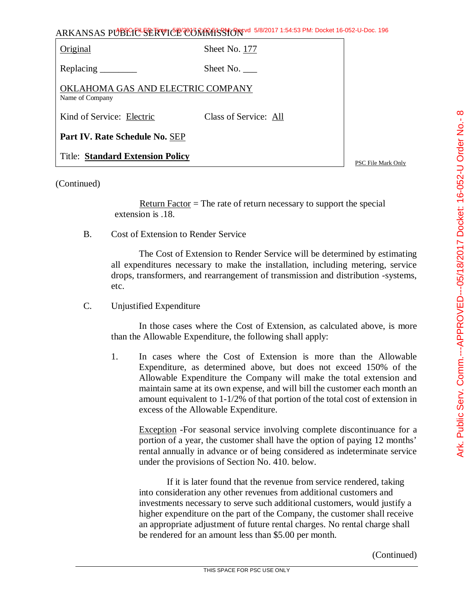| Original                                             | Sheet No. 177         |  |
|------------------------------------------------------|-----------------------|--|
| Replacing                                            | Sheet No.             |  |
| OKLAHOMA GAS AND ELECTRIC COMPANY<br>Name of Company |                       |  |
| Kind of Service: Electric                            | Class of Service: All |  |
| Part IV. Rate Schedule No. SEP                       |                       |  |
| <b>Title: Standard Extension Policy</b>              |                       |  |

PSC File Mark Only

#### (Continued)

Return Factor  $=$  The rate of return necessary to support the special extension is .18.

B. Cost of Extension to Render Service

The Cost of Extension to Render Service will be determined by estimating all expenditures necessary to make the installation, including metering, service drops, transformers, and rearrangement of transmission and distribution -systems, etc.

C. Unjustified Expenditure

In those cases where the Cost of Extension, as calculated above, is more than the Allowable Expenditure, the following shall apply:

1. In cases where the Cost of Extension is more than the Allowable Expenditure, as determined above, but does not exceed 150% of the Allowable Expenditure the Company will make the total extension and maintain same at its own expense, and will bill the customer each month an amount equivalent to 1-1/2% of that portion of the total cost of extension in excess of the Allowable Expenditure.

Exception -For seasonal service involving complete discontinuance for a portion of a year, the customer shall have the option of paying 12 months' rental annually in advance or of being considered as indeterminate service under the provisions of Section No. 410. below.

If it is later found that the revenue from service rendered, taking into consideration any other revenues from additional customers and investments necessary to serve such additional customers, would justify a higher expenditure on the part of the Company, the customer shall receive an appropriate adjustment of future rental charges. No rental charge shall be rendered for an amount less than \$5.00 per month.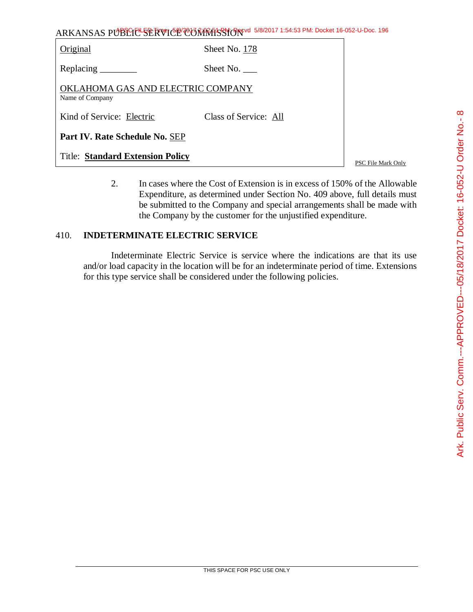| ARKANSAS PUBLIC SERVICE CONTRASSION 5/8/2017 1:54:53 PM: Docket 16-052-U-Doc. 196 |  |
|-----------------------------------------------------------------------------------|--|
|-----------------------------------------------------------------------------------|--|

| Original                                             | Sheet No. 178         |                    |
|------------------------------------------------------|-----------------------|--------------------|
| Replacing $\_\_\_\_\_\_\_\_\_\$                      | Sheet No.             |                    |
| OKLAHOMA GAS AND ELECTRIC COMPANY<br>Name of Company |                       |                    |
| Kind of Service: Electric                            | Class of Service: All |                    |
| Part IV. Rate Schedule No. SEP                       |                       |                    |
| <b>Title: Standard Extension Policy</b>              |                       | PSC File Mark Only |

2. In cases where the Cost of Extension is in excess of 150% of the Allowable Expenditure, as determined under Section No. 409 above, full details must be submitted to the Company and special arrangements shall be made with the Company by the customer for the unjustified expenditure.

# 410. **INDETERMINATE ELECTRIC SERVICE**

Indeterminate Electric Service is service where the indications are that its use and/or load capacity in the location will be for an indeterminate period of time. Extensions for this type service shall be considered under the following policies.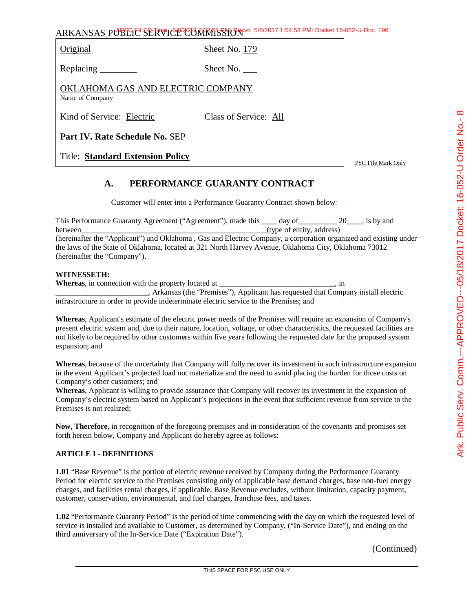| ARKANSAS PUBLICE SERVICE CONTRASSION 5/8/2017 1:54:53 PM: Docket 16-052-U-Doc. 196 |  |
|------------------------------------------------------------------------------------|--|
|------------------------------------------------------------------------------------|--|

Original Sheet No. 179

Replacing Sheet No.

OKLAHOMA GAS AND ELECTRIC COMPANY Name of Company

Kind of Service: Electric Class of Service: All

**Part IV. Rate Schedule No.** SEP

Title: **Standard Extension Policy**

PSC File Mark Only

## **A. PERFORMANCE GUARANTY CONTRACT**

Customer will enter into a Performance Guaranty Contract shown below:

| This Performance Guaranty Agreement ("Agreement"), made this _____ day of _________ 20 ____, is by and           |                           |  |
|------------------------------------------------------------------------------------------------------------------|---------------------------|--|
| between                                                                                                          | (type of entity, address) |  |
| (hereinafter the "Applicant") and Oklahoma, Gas and Electric Company, a corporation organized and existing under |                           |  |
| the laws of the State of Oklahoma, located at 321 North Harvey Avenue, Oklahoma City, Oklahoma 73012             |                           |  |
| (hereinafter the "Company").                                                                                     |                           |  |

#### **WITNESSETH:**

| <b>Whereas</b> , in connection with the property located at                            | ш                                                                                  |
|----------------------------------------------------------------------------------------|------------------------------------------------------------------------------------|
|                                                                                        | , Arkansas (the "Premises"), Applicant has requested that Company install electric |
| infrastructure in order to provide indeterminate electric service to the Premises; and |                                                                                    |

**Whereas**, Applicant's estimate of the electric power needs of the Premises will require an expansion of Company's present electric system and, due to their nature, location, voltage, or other characteristics, the requested facilities are not likely to be required by other customers within five years following the requested date for the proposed system expansion; and

**Whereas**, because of the uncertainty that Company will fully recover its investment in such infrastructure expansion in the event Applicant's projected load not materialize and the need to avoid placing the burden for those costs on Company's other customers; and

**Whereas**, Applicant is willing to provide assurance that Company will recover its investment in the expansion of Company's electric system based on Applicant's projections in the event that sufficient revenue from service to the Premises is not realized;

**Now, Therefore**, in recognition of the foregoing premises and in consideration of the covenants and promises set forth herein below, Company and Applicant do hereby agree as follows:

#### **ARTICLE I - DEFINITIONS**

**1.01** "Base Revenue" is the portion of electric revenue received by Company during the Performance Guaranty Period for electric service to the Premises consisting only of applicable base demand charges, base non-fuel energy charges, and facilities rental charges, if applicable. Base Revenue excludes, without limitation, capacity payment, customer, conservation, environmental, and fuel charges, franchise fees, and taxes.

**1.02** "Performance Guaranty Period" is the period of time commencing with the day on which the requested level of service is installed and available to Customer, as determined by Company, ("In-Service Date"), and ending on the third anniversary of the In-Service Date ("Expiration Date").

(Continued)

 $\infty$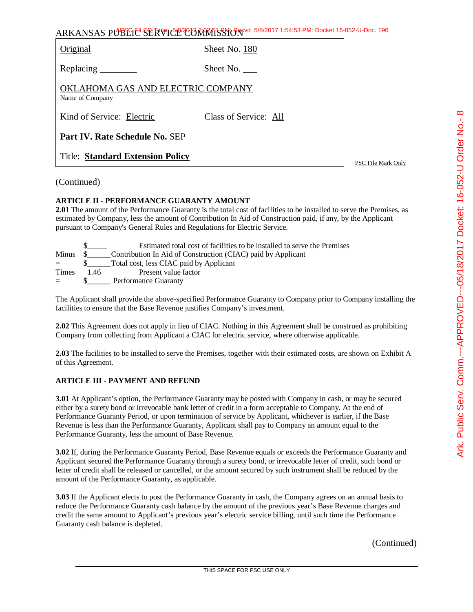| ARKANSAS PUBLICE SERVICE CONTRASSION 5/8/2017 1:54:53 PM: Docket 16-052-U-Doc. 196 |  |
|------------------------------------------------------------------------------------|--|
|------------------------------------------------------------------------------------|--|

Original Sheet No. 180

Replacing \_\_\_\_\_\_\_\_ Sheet No. \_\_\_\_

OKLAHOMA GAS AND ELECTRIC COMPANY Name of Company

Kind of Service: Electric Class of Service: All

**Part IV. Rate Schedule No.** SEP

Title: **Standard Extension Policy**

PSC File Mark Only

#### (Continued)

#### **ARTICLE II - PERFORMANCE GUARANTY AMOUNT**

**2.01** The amount of the Performance Guaranty is the total cost of facilities to be installed to serve the Premises, as estimated by Company, less the amount of Contribution In Aid of Construction paid, if any, by the Applicant pursuant to Company's General Rules and Regulations for Electric Service.

|              |          | Estimated total cost of facilities to be installed to serve the Premises |
|--------------|----------|--------------------------------------------------------------------------|
|              | Minus \$ | Contribution In Aid of Construction (CIAC) paid by Applicant             |
| $=$ $-$      |          | Total cost, less CIAC paid by Applicant                                  |
| <b>Times</b> | -146     | Present value factor                                                     |
| $=$          |          | Performance Guaranty                                                     |

The Applicant shall provide the above-specified Performance Guaranty to Company prior to Company installing the facilities to ensure that the Base Revenue justifies Company's investment.

**2.02** This Agreement does not apply in lieu of CIAC. Nothing in this Agreement shall be construed as prohibiting Company from collecting from Applicant a CIAC for electric service, where otherwise applicable.

**2.03** The facilities to be installed to serve the Premises, together with their estimated costs, are shown on Exhibit A of this Agreement.

#### **ARTICLE III - PAYMENT AND REFUND**

**3.01** At Applicant's option, the Performance Guaranty may be posted with Company in cash, or may be secured either by a surety bond or irrevocable bank letter of credit in a form acceptable to Company. At the end of Performance Guaranty Period, or upon termination of service by Applicant, whichever is earlier, if the Base Revenue is less than the Performance Guaranty, Applicant shall pay to Company an amount equal to the Performance Guaranty, less the amount of Base Revenue.

**3.02** If, during the Performance Guaranty Period, Base Revenue equals or exceeds the Performance Guaranty and Applicant secured the Performance Guaranty through a surety bond, or irrevocable letter of credit, such bond or letter of credit shall be released or cancelled, or the amount secured by such instrument shall be reduced by the amount of the Performance Guaranty, as applicable.

**3.03** If the Applicant elects to post the Performance Guaranty in cash, the Company agrees on an annual basis to reduce the Performance Guaranty cash balance by the amount of the previous year's Base Revenue charges and credit the same amount to Applicant's previous year's electric service billing, until such time the Performance Guaranty cash balance is depleted.

(Continued)

 $\infty$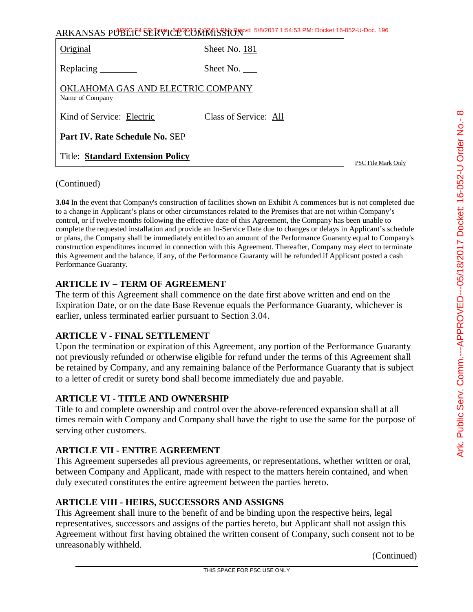|                                                      | ARKANSAS PUBLIC SERVICE CORRATS TO 5/8/2017 1:54:53 PM: Docket 16-052-U-Doc. 196 |                    |
|------------------------------------------------------|----------------------------------------------------------------------------------|--------------------|
| Original                                             | Sheet No. 181                                                                    |                    |
|                                                      | Sheet No.                                                                        |                    |
| OKLAHOMA GAS AND ELECTRIC COMPANY<br>Name of Company |                                                                                  |                    |
| Kind of Service: Electric                            | Class of Service: All                                                            |                    |
| Part IV. Rate Schedule No. SEP                       |                                                                                  |                    |
| <b>Title: Standard Extension Policy</b>              |                                                                                  | PSC File Mark Only |

## (Continued)

**3.04** In the event that Company's construction of facilities shown on Exhibit A commences but is not completed due to a change in Applicant's plans or other circumstances related to the Premises that are not within Company's control, or if twelve months following the effective date of this Agreement, the Company has been unable to complete the requested installation and provide an In-Service Date due to changes or delays in Applicant's schedule or plans, the Company shall be immediately entitled to an amount of the Performance Guaranty equal to Company's construction expenditures incurred in connection with this Agreement. Thereafter, Company may elect to terminate this Agreement and the balance, if any, of the Performance Guaranty will be refunded if Applicant posted a cash Performance Guaranty.

# **ARTICLE IV – TERM OF AGREEMENT**

The term of this Agreement shall commence on the date first above written and end on the Expiration Date, or on the date Base Revenue equals the Performance Guaranty, whichever is earlier, unless terminated earlier pursuant to Section 3.04.

## **ARTICLE V - FINAL SETTLEMENT**

Upon the termination or expiration of this Agreement, any portion of the Performance Guaranty not previously refunded or otherwise eligible for refund under the terms of this Agreement shall be retained by Company, and any remaining balance of the Performance Guaranty that is subject to a letter of credit or surety bond shall become immediately due and payable.

## **ARTICLE VI - TITLE AND OWNERSHIP**

Title to and complete ownership and control over the above-referenced expansion shall at all times remain with Company and Company shall have the right to use the same for the purpose of serving other customers.

## **ARTICLE VII - ENTIRE AGREEMENT**

This Agreement supersedes all previous agreements, or representations, whether written or oral, between Company and Applicant, made with respect to the matters herein contained, and when duly executed constitutes the entire agreement between the parties hereto.

## **ARTICLE VIII - HEIRS, SUCCESSORS AND ASSIGNS**

This Agreement shall inure to the benefit of and be binding upon the respective heirs, legal representatives, successors and assigns of the parties hereto, but Applicant shall not assign this Agreement without first having obtained the written consent of Company, such consent not to be unreasonably withheld.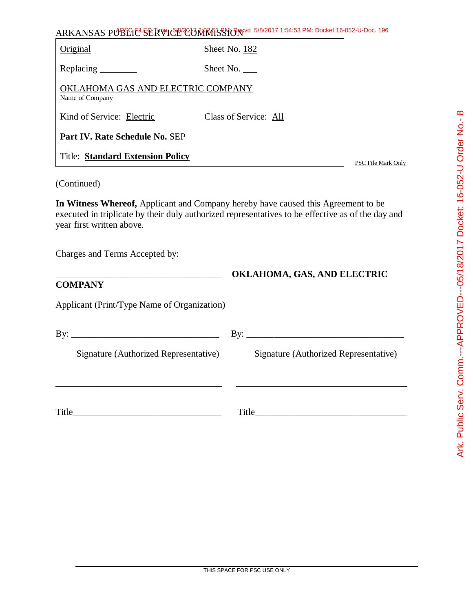| ARKANSAS PUBLIC <sup>L</sup> SERVICE COMMISSION 5/8/2017 1:54:53 PM: Docket 16-052-U-Doc. 196 |                       |                    |  |
|-----------------------------------------------------------------------------------------------|-----------------------|--------------------|--|
| Original                                                                                      | Sheet No. 182         |                    |  |
| Replacing $\_\_\_\_\_\_\_\_\_\_\_\$                                                           | Sheet No.             |                    |  |
| OKLAHOMA GAS AND ELECTRIC COMPANY<br>Name of Company                                          |                       |                    |  |
| Kind of Service: Electric                                                                     | Class of Service: All |                    |  |
| Part IV. Rate Schedule No. SEP                                                                |                       |                    |  |
| <b>Title: Standard Extension Policy</b>                                                       |                       | PSC File Mark Only |  |

(Continued)

**In Witness Whereof,** Applicant and Company hereby have caused this Agreement to be executed in triplicate by their duly authorized representatives to be effective as of the day and year first written above.

\_\_\_\_\_\_\_\_\_\_\_\_\_\_\_\_\_\_\_\_\_\_\_\_\_\_\_\_\_\_\_\_\_\_\_\_ **OKLAHOMA, GAS, AND ELECTRIC** 

Charges and Terms Accepted by:

# **COMPANY**

Applicant (Print/Type Name of Organization)

| Signature (Authorized Representative) | Signature (Authorized Representative) |
|---------------------------------------|---------------------------------------|
|                                       |                                       |
| Title                                 | Title                                 |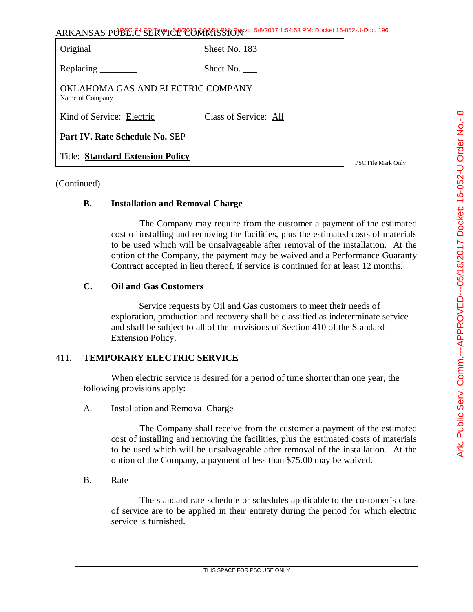|                                                      | ARKANSAS PUBLIC SERVICE CONRESSION 5/8/2017 1:54:53 PM: Docket 16-052-U-Doc. 196 |                 |
|------------------------------------------------------|----------------------------------------------------------------------------------|-----------------|
| Original                                             | Sheet No. 183                                                                    |                 |
| Replacing                                            | Sheet No.                                                                        |                 |
| OKLAHOMA GAS AND ELECTRIC COMPANY<br>Name of Company |                                                                                  |                 |
| Kind of Service: Electric                            | Class of Service: All                                                            |                 |
| Part IV. Rate Schedule No. SEP                       |                                                                                  |                 |
| <b>Title: Standard Extension Policy</b>              |                                                                                  | <b>DOCUMENT</b> |

## (Continued)

## **B. Installation and Removal Charge**

The Company may require from the customer a payment of the estimated cost of installing and removing the facilities, plus the estimated costs of materials to be used which will be unsalvageable after removal of the installation. At the option of the Company, the payment may be waived and a Performance Guaranty Contract accepted in lieu thereof, if service is continued for at least 12 months.

# **C. Oil and Gas Customers**

Service requests by Oil and Gas customers to meet their needs of exploration, production and recovery shall be classified as indeterminate service and shall be subject to all of the provisions of Section 410 of the Standard Extension Policy.

# 411. **TEMPORARY ELECTRIC SERVICE**

When electric service is desired for a period of time shorter than one year, the following provisions apply:

A. Installation and Removal Charge

The Company shall receive from the customer a payment of the estimated cost of installing and removing the facilities, plus the estimated costs of materials to be used which will be unsalvageable after removal of the installation. At the option of the Company, a payment of less than \$75.00 may be waived.

B. Rate

The standard rate schedule or schedules applicable to the customer's class of service are to be applied in their entirety during the period for which electric service is furnished.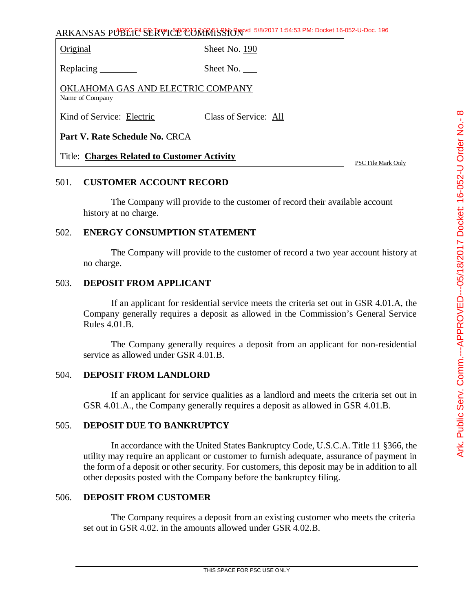| Original                                             | Sheet No. 190         |  |
|------------------------------------------------------|-----------------------|--|
| Replacing $\_\_\_\_\_\_\_\_\_\$                      | Sheet No. $\_\_$      |  |
| OKLAHOMA GAS AND ELECTRIC COMPANY<br>Name of Company |                       |  |
| Kind of Service: Electric                            | Class of Service: All |  |
| Part V. Rate Schedule No. CRCA                       |                       |  |
| <b>Title: Charges Related to Customer Activity</b>   |                       |  |

#### 501. **CUSTOMER ACCOUNT RECORD**

The Company will provide to the customer of record their available account history at no charge.

#### 502. **ENERGY CONSUMPTION STATEMENT**

The Company will provide to the customer of record a two year account history at no charge.

## 503. **DEPOSIT FROM APPLICANT**

If an applicant for residential service meets the criteria set out in GSR 4.01.A, the Company generally requires a deposit as allowed in the Commission's General Service Rules 4.01.B.

The Company generally requires a deposit from an applicant for non-residential service as allowed under GSR 4.01.B.

## 504. **DEPOSIT FROM LANDLORD**

If an applicant for service qualities as a landlord and meets the criteria set out in GSR 4.01.A., the Company generally requires a deposit as allowed in GSR 4.01.B.

## 505. **DEPOSIT DUE TO BANKRUPTCY**

In accordance with the United States Bankruptcy Code, U.S.C.A. Title 11 §366, the utility may require an applicant or customer to furnish adequate, assurance of payment in the form of a deposit or other security. For customers, this deposit may be in addition to all other deposits posted with the Company before the bankruptcy filing.

#### 506. **DEPOSIT FROM CUSTOMER**

The Company requires a deposit from an existing customer who meets the criteria set out in GSR 4.02. in the amounts allowed under GSR 4.02.B.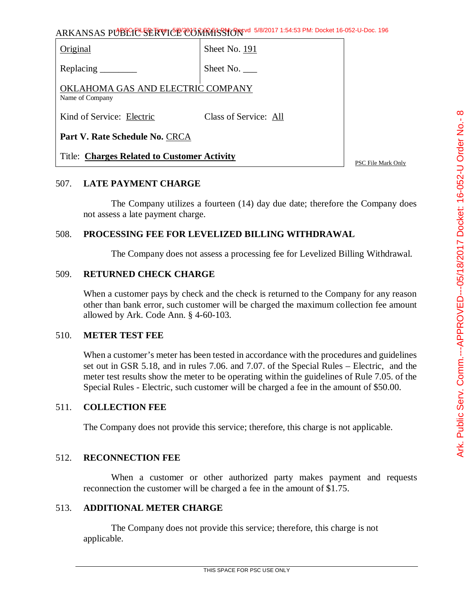| Original                                             | Sheet No. 191         |  |
|------------------------------------------------------|-----------------------|--|
| Replacing $\frac{\ }{\ }$                            | Sheet No. $\_\_$      |  |
| OKLAHOMA GAS AND ELECTRIC COMPANY<br>Name of Company |                       |  |
| Kind of Service: Electric                            | Class of Service: All |  |
| Part V. Rate Schedule No. CRCA                       |                       |  |
| <b>Title: Charges Related to Customer Activity</b>   |                       |  |

## 507. **LATE PAYMENT CHARGE**

The Company utilizes a fourteen (14) day due date; therefore the Company does not assess a late payment charge.

#### 508. **PROCESSING FEE FOR LEVELIZED BILLING WITHDRAWAL**

The Company does not assess a processing fee for Levelized Billing Withdrawal.

#### 509. **RETURNED CHECK CHARGE**

When a customer pays by check and the check is returned to the Company for any reason other than bank error, such customer will be charged the maximum collection fee amount allowed by Ark. Code Ann. § 4-60-103.

#### 510. **METER TEST FEE**

When a customer's meter has been tested in accordance with the procedures and guidelines set out in GSR 5.18, and in rules 7.06. and 7.07. of the Special Rules – Electric, and the meter test results show the meter to be operating within the guidelines of Rule 7.05. of the Special Rules - Electric, such customer will be charged a fee in the amount of \$50.00.

#### 511. **COLLECTION FEE**

The Company does not provide this service; therefore, this charge is not applicable.

#### 512. **RECONNECTION FEE**

When a customer or other authorized party makes payment and requests reconnection the customer will be charged a fee in the amount of \$1.75.

#### 513. **ADDITIONAL METER CHARGE**

The Company does not provide this service; therefore, this charge is not applicable.